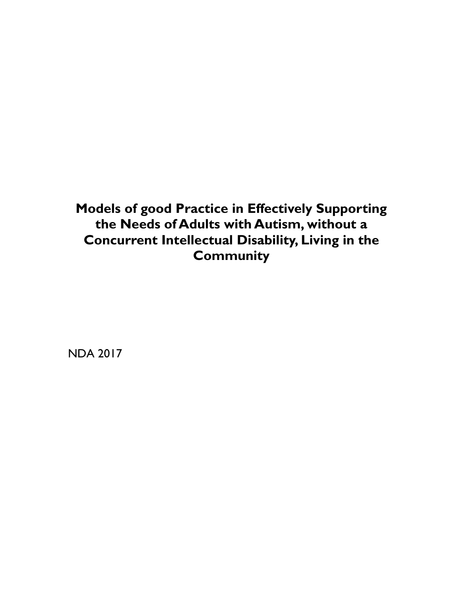**Models of good Practice in Effectively Supporting the Needs of Adults with Autism, without a Concurrent Intellectual Disability, Living in the Community**

NDA 2017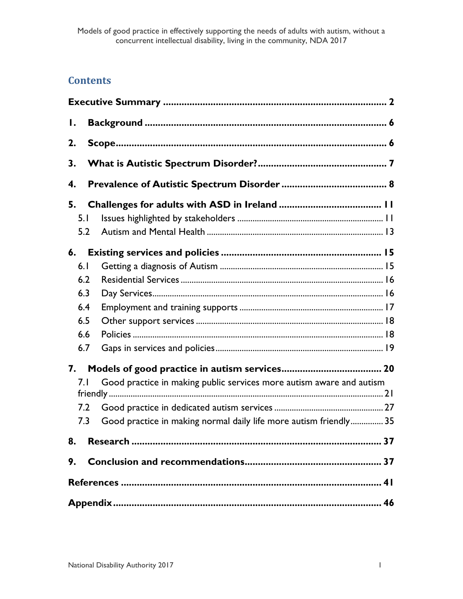## **Contents**

| $\mathsf{I}$ . |                                                                      |  |  |
|----------------|----------------------------------------------------------------------|--|--|
| 2.             |                                                                      |  |  |
| 3.             |                                                                      |  |  |
| 4.             |                                                                      |  |  |
| 5.             |                                                                      |  |  |
| 5.1            |                                                                      |  |  |
| 5.2            |                                                                      |  |  |
| 6.             |                                                                      |  |  |
| 6.1            |                                                                      |  |  |
| 6.2            |                                                                      |  |  |
| 6.3            |                                                                      |  |  |
| 6.4            |                                                                      |  |  |
| 6.5            |                                                                      |  |  |
| 6.6            |                                                                      |  |  |
| 6.7            |                                                                      |  |  |
| 7.             |                                                                      |  |  |
| 7. I           | Good practice in making public services more autism aware and autism |  |  |
|                |                                                                      |  |  |
| 7.2            |                                                                      |  |  |
| 7.3            | Good practice in making normal daily life more autism friendly 35    |  |  |
| 8.             |                                                                      |  |  |
| 9.             |                                                                      |  |  |
|                |                                                                      |  |  |
|                |                                                                      |  |  |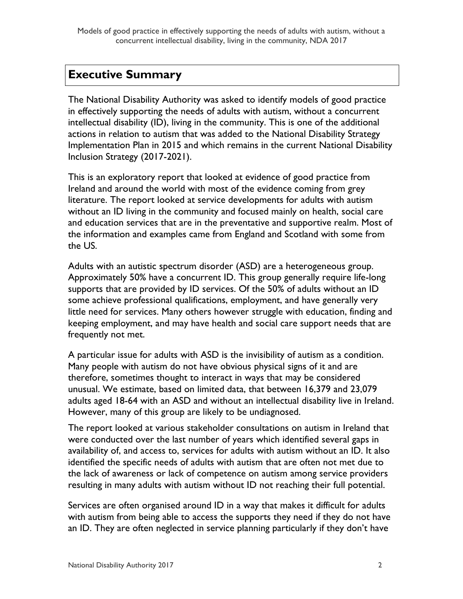# <span id="page-2-0"></span>**Executive Summary**

The National Disability Authority was asked to identify models of good practice in effectively supporting the needs of adults with autism, without a concurrent intellectual disability (ID), living in the community. This is one of the additional actions in relation to autism that was added to the National Disability Strategy Implementation Plan in 2015 and which remains in the current National Disability Inclusion Strategy (2017-2021).

This is an exploratory report that looked at evidence of good practice from Ireland and around the world with most of the evidence coming from grey literature. The report looked at service developments for adults with autism without an ID living in the community and focused mainly on health, social care and education services that are in the preventative and supportive realm. Most of the information and examples came from England and Scotland with some from the US.

Adults with an autistic spectrum disorder (ASD) are a heterogeneous group. Approximately 50% have a concurrent ID. This group generally require life-long supports that are provided by ID services. Of the 50% of adults without an ID some achieve professional qualifications, employment, and have generally very little need for services. Many others however struggle with education, finding and keeping employment, and may have health and social care support needs that are frequently not met.

A particular issue for adults with ASD is the invisibility of autism as a condition. Many people with autism do not have obvious physical signs of it and are therefore, sometimes thought to interact in ways that may be considered unusual. We estimate, based on limited data, that between 16,379 and 23,079 adults aged 18-64 with an ASD and without an intellectual disability live in Ireland. However, many of this group are likely to be undiagnosed.

The report looked at various stakeholder consultations on autism in Ireland that were conducted over the last number of years which identified several gaps in availability of, and access to, services for adults with autism without an ID. It also identified the specific needs of adults with autism that are often not met due to the lack of awareness or lack of competence on autism among service providers resulting in many adults with autism without ID not reaching their full potential.

Services are often organised around ID in a way that makes it difficult for adults with autism from being able to access the supports they need if they do not have an ID. They are often neglected in service planning particularly if they don't have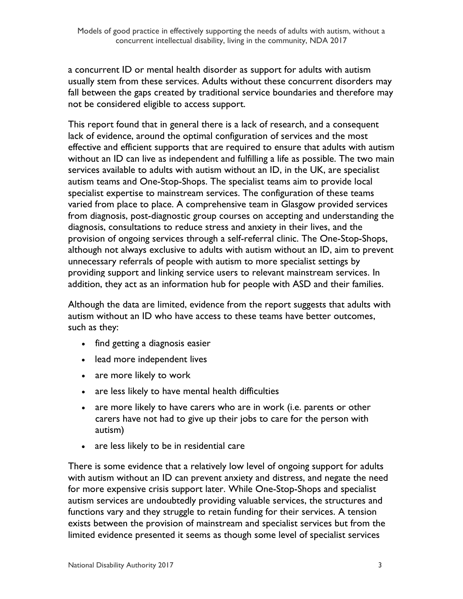a concurrent ID or mental health disorder as support for adults with autism usually stem from these services. Adults without these concurrent disorders may fall between the gaps created by traditional service boundaries and therefore may not be considered eligible to access support.

This report found that in general there is a lack of research, and a consequent lack of evidence, around the optimal configuration of services and the most effective and efficient supports that are required to ensure that adults with autism without an ID can live as independent and fulfilling a life as possible. The two main services available to adults with autism without an ID, in the UK, are specialist autism teams and One-Stop-Shops. The specialist teams aim to provide local specialist expertise to mainstream services. The configuration of these teams varied from place to place. A comprehensive team in Glasgow provided services from diagnosis, post-diagnostic group courses on accepting and understanding the diagnosis, consultations to reduce stress and anxiety in their lives, and the provision of ongoing services through a self-referral clinic. The One-Stop-Shops, although not always exclusive to adults with autism without an ID, aim to prevent unnecessary referrals of people with autism to more specialist settings by providing support and linking service users to relevant mainstream services. In addition, they act as an information hub for people with ASD and their families.

Although the data are limited, evidence from the report suggests that adults with autism without an ID who have access to these teams have better outcomes, such as they:

- find getting a diagnosis easier
- lead more independent lives
- are more likely to work
- are less likely to have mental health difficulties
- are more likely to have carers who are in work (i.e. parents or other carers have not had to give up their jobs to care for the person with autism)
- are less likely to be in residential care

There is some evidence that a relatively low level of ongoing support for adults with autism without an ID can prevent anxiety and distress, and negate the need for more expensive crisis support later. While One-Stop-Shops and specialist autism services are undoubtedly providing valuable services, the structures and functions vary and they struggle to retain funding for their services. A tension exists between the provision of mainstream and specialist services but from the limited evidence presented it seems as though some level of specialist services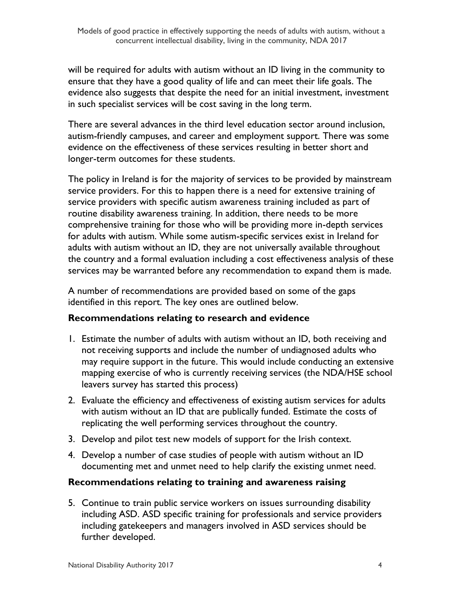will be required for adults with autism without an ID living in the community to ensure that they have a good quality of life and can meet their life goals. The evidence also suggests that despite the need for an initial investment, investment in such specialist services will be cost saving in the long term.

There are several advances in the third level education sector around inclusion, autism-friendly campuses, and career and employment support. There was some evidence on the effectiveness of these services resulting in better short and longer-term outcomes for these students.

The policy in Ireland is for the majority of services to be provided by mainstream service providers. For this to happen there is a need for extensive training of service providers with specific autism awareness training included as part of routine disability awareness training. In addition, there needs to be more comprehensive training for those who will be providing more in-depth services for adults with autism. While some autism-specific services exist in Ireland for adults with autism without an ID, they are not universally available throughout the country and a formal evaluation including a cost effectiveness analysis of these services may be warranted before any recommendation to expand them is made.

A number of recommendations are provided based on some of the gaps identified in this report. The key ones are outlined below.

#### **Recommendations relating to research and evidence**

- 1. Estimate the number of adults with autism without an ID, both receiving and not receiving supports and include the number of undiagnosed adults who may require support in the future. This would include conducting an extensive mapping exercise of who is currently receiving services (the NDA/HSE school leavers survey has started this process)
- 2. Evaluate the efficiency and effectiveness of existing autism services for adults with autism without an ID that are publically funded. Estimate the costs of replicating the well performing services throughout the country.
- 3. Develop and pilot test new models of support for the Irish context.
- 4. Develop a number of case studies of people with autism without an ID documenting met and unmet need to help clarify the existing unmet need.

#### **Recommendations relating to training and awareness raising**

5. Continue to train public service workers on issues surrounding disability including ASD. ASD specific training for professionals and service providers including gatekeepers and managers involved in ASD services should be further developed.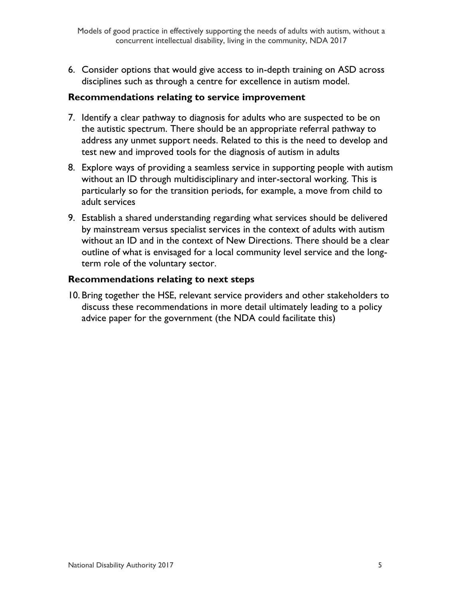6. Consider options that would give access to in-depth training on ASD across disciplines such as through a centre for excellence in autism model.

#### **Recommendations relating to service improvement**

- 7. Identify a clear pathway to diagnosis for adults who are suspected to be on the autistic spectrum. There should be an appropriate referral pathway to address any unmet support needs. Related to this is the need to develop and test new and improved tools for the diagnosis of autism in adults
- 8. Explore ways of providing a seamless service in supporting people with autism without an ID through multidisciplinary and inter-sectoral working. This is particularly so for the transition periods, for example, a move from child to adult services
- 9. Establish a shared understanding regarding what services should be delivered by mainstream versus specialist services in the context of adults with autism without an ID and in the context of New Directions. There should be a clear outline of what is envisaged for a local community level service and the longterm role of the voluntary sector.

#### **Recommendations relating to next steps**

10. Bring together the HSE, relevant service providers and other stakeholders to discuss these recommendations in more detail ultimately leading to a policy advice paper for the government (the NDA could facilitate this)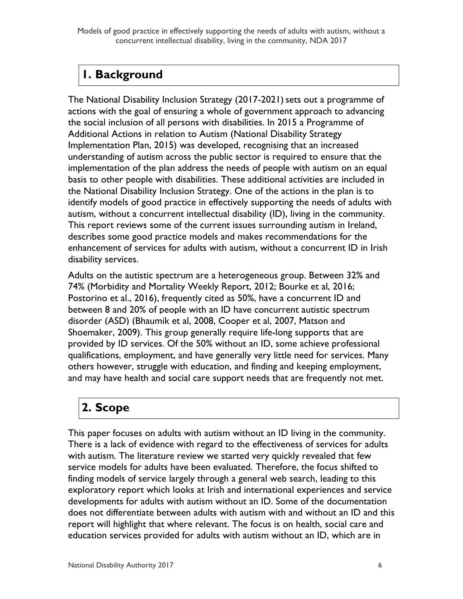Models of good practice in effectively supporting the needs of adults with autism, without a concurrent intellectual disability, living in the community, NDA 2017

# <span id="page-6-0"></span>**1. Background**

The National Disability Inclusion Strategy (2017-2021) sets out a programme of actions with the goal of ensuring a whole of government approach to advancing the social inclusion of all persons with disabilities. In 2015 a Programme of Additional Actions in relation to Autism (National Disability Strategy Implementation Plan, 2015) was developed, recognising that an increased understanding of autism across the public sector is required to ensure that the implementation of the plan address the needs of people with autism on an equal basis to other people with disabilities. These additional activities are included in the National Disability Inclusion Strategy. One of the actions in the plan is to identify models of good practice in effectively supporting the needs of adults with autism, without a concurrent intellectual disability (ID), living in the community. This report reviews some of the current issues surrounding autism in Ireland, describes some good practice models and makes recommendations for the enhancement of services for adults with autism, without a concurrent ID in Irish disability services.

Adults on the autistic spectrum are a heterogeneous group. Between 32% and 74% (Morbidity and Mortality Weekly Report, 2012; Bourke et al, 2016; Postorino et al., 2016), frequently cited as 50%, have a concurrent ID and between 8 and 20% of people with an ID have concurrent autistic spectrum disorder (ASD) (Bhaumik et al, 2008, Cooper et al, 2007, Matson and Shoemaker, 2009). This group generally require life-long supports that are provided by ID services. Of the 50% without an ID, some achieve professional qualifications, employment, and have generally very little need for services. Many others however, struggle with education, and finding and keeping employment, and may have health and social care support needs that are frequently not met.

# <span id="page-6-1"></span>**2. Scope**

This paper focuses on adults with autism without an ID living in the community. There is a lack of evidence with regard to the effectiveness of services for adults with autism. The literature review we started very quickly revealed that few service models for adults have been evaluated. Therefore, the focus shifted to finding models of service largely through a general web search, leading to this exploratory report which looks at Irish and international experiences and service developments for adults with autism without an ID. Some of the documentation does not differentiate between adults with autism with and without an ID and this report will highlight that where relevant. The focus is on health, social care and education services provided for adults with autism without an ID, which are in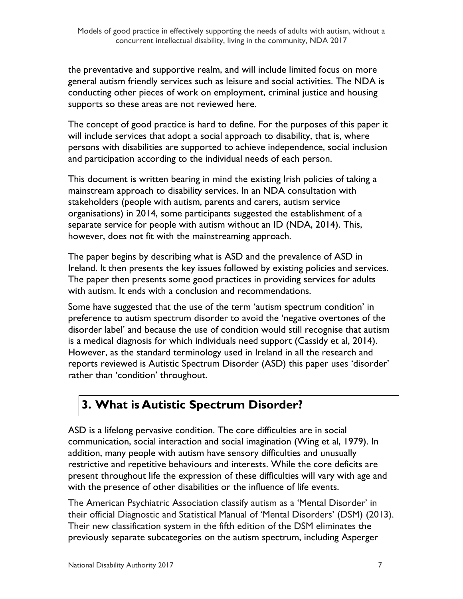the preventative and supportive realm, and will include limited focus on more general autism friendly services such as leisure and social activities. The NDA is conducting other pieces of work on employment, criminal justice and housing supports so these areas are not reviewed here.

The concept of good practice is hard to define. For the purposes of this paper it will include services that adopt a social approach to disability, that is, where persons with disabilities are supported to achieve independence, social inclusion and participation according to the individual needs of each person.

This document is written bearing in mind the existing Irish policies of taking a mainstream approach to disability services. In an NDA consultation with stakeholders (people with autism, parents and carers, autism service organisations) in 2014, some participants suggested the establishment of a separate service for people with autism without an ID (NDA, 2014). This, however, does not fit with the mainstreaming approach.

The paper begins by describing what is ASD and the prevalence of ASD in Ireland. It then presents the key issues followed by existing policies and services. The paper then presents some good practices in providing services for adults with autism. It ends with a conclusion and recommendations.

Some have suggested that the use of the term 'autism spectrum condition' in preference to autism spectrum disorder to avoid the 'negative overtones of the disorder label' and because the use of condition would still recognise that autism is a medical diagnosis for which individuals need support (Cassidy et al, 2014). However, as the standard terminology used in Ireland in all the research and reports reviewed is Autistic Spectrum Disorder (ASD) this paper uses 'disorder' rather than 'condition' throughout.

# <span id="page-7-0"></span>**3. What is Autistic Spectrum Disorder?**

ASD is a lifelong pervasive condition. The core difficulties are in social communication, social interaction and social imagination (Wing et al, 1979). In addition, many people with autism have sensory difficulties and unusually restrictive and repetitive behaviours and interests. While the core deficits are present throughout life the expression of these difficulties will vary with age and with the presence of other disabilities or the influence of life events.

The American Psychiatric Association classify autism as a 'Mental Disorder' in their official Diagnostic and Statistical Manual of 'Mental Disorders' (DSM) (2013). Their new classification system in the fifth edition of the DSM eliminates the previously separate subcategories on the autism spectrum, including Asperger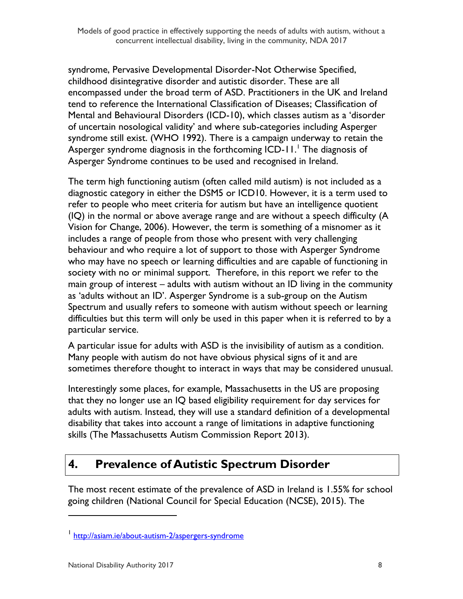syndrome, Pervasive Developmental Disorder-Not Otherwise Specified, childhood disintegrative disorder and autistic disorder. These are all encompassed under the broad term of ASD. Practitioners in the UK and Ireland tend to reference the International Classification of Diseases; Classification of Mental and Behavioural Disorders (ICD-10), which classes autism as a 'disorder of uncertain nosological validity' and where sub-categories including Asperger syndrome still exist. (WHO 1992). There is a campaign underway to retain the Asperger syndrome diagnosis in the forthcoming  $ICD-11$ .<sup>1</sup> The diagnosis of Asperger Syndrome continues to be used and recognised in Ireland.

The term high functioning autism (often called mild autism) is not included as a diagnostic category in either the DSM5 or ICD10. However, it is a term used to refer to people who meet criteria for autism but have an intelligence quotient (IQ) in the normal or above average range and are without a speech difficulty (A Vision for Change, 2006). However, the term is something of a misnomer as it includes a range of people from those who present with very challenging behaviour and who require a lot of support to those with Asperger Syndrome who may have no speech or learning difficulties and are capable of functioning in society with no or minimal support. Therefore, in this report we refer to the main group of interest – adults with autism without an ID living in the community as 'adults without an ID'. Asperger Syndrome is a sub-group on the Autism Spectrum and usually refers to someone with autism without speech or learning difficulties but this term will only be used in this paper when it is referred to by a particular service.

A particular issue for adults with ASD is the invisibility of autism as a condition. Many people with autism do not have obvious physical signs of it and are sometimes therefore thought to interact in ways that may be considered unusual.

Interestingly some places, for example, Massachusetts in the US are proposing that they no longer use an IQ based eligibility requirement for day services for adults with autism. Instead, they will use a standard definition of a developmental disability that takes into account a range of limitations in adaptive functioning skills (The Massachusetts Autism Commission Report 2013).

# <span id="page-8-0"></span>**4. Prevalence of Autistic Spectrum Disorder**

The most recent estimate of the prevalence of ASD in Ireland is 1.55% for school going children (National Council for Special Education (NCSE), 2015). The

<sup>&</sup>lt;sup>1</sup> <http://asiam.ie/about-autism-2/aspergers-syndrome>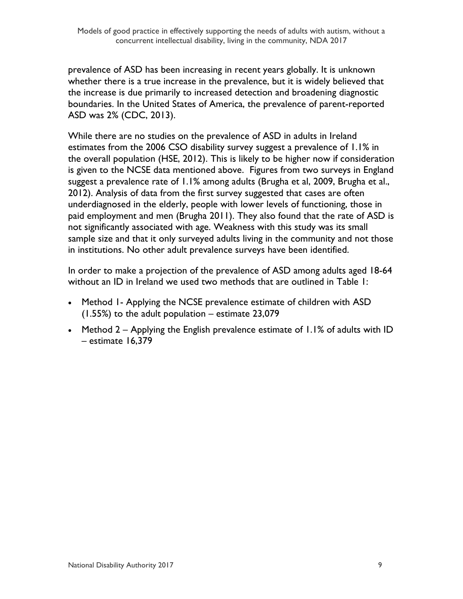prevalence of ASD has been increasing in recent years globally. It is unknown whether there is a true increase in the prevalence, but it is widely believed that the increase is due primarily to increased detection and broadening diagnostic boundaries. In the United States of America, the prevalence of parent-reported ASD was 2% (CDC, 2013).

While there are no studies on the prevalence of ASD in adults in Ireland estimates from the 2006 CSO disability survey suggest a prevalence of 1.1% in the overall population (HSE, 2012). This is likely to be higher now if consideration is given to the NCSE data mentioned above. Figures from two surveys in England suggest a prevalence rate of 1.1% among adults (Brugha et al, 2009, Brugha et al., 2012). Analysis of data from the first survey suggested that cases are often underdiagnosed in the elderly, people with lower levels of functioning, those in paid employment and men (Brugha 2011). They also found that the rate of ASD is not significantly associated with age. Weakness with this study was its small sample size and that it only surveyed adults living in the community and not those in institutions. No other adult prevalence surveys have been identified.

In order to make a projection of the prevalence of ASD among adults aged 18-64 without an ID in Ireland we used two methods that are outlined in Table 1:

- Method 1- Applying the NCSE prevalence estimate of children with ASD (1.55%) to the adult population – estimate 23,079
- Method 2 Applying the English prevalence estimate of 1.1% of adults with ID – estimate 16,379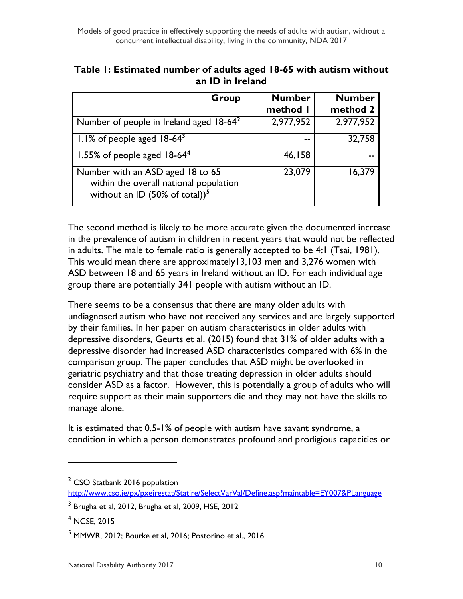| Group                                                                                                                    | <b>Number</b> | <b>Number</b> |
|--------------------------------------------------------------------------------------------------------------------------|---------------|---------------|
|                                                                                                                          | method I      | method 2      |
| Number of people in Ireland aged 18-64 <sup>2</sup>                                                                      | 2,977,952     | 2,977,952     |
| $1.1\%$ of people aged $18-64^3$                                                                                         |               | 32,758        |
| 1.55% of people aged $18-644$                                                                                            | 46,158        |               |
| Number with an ASD aged 18 to 65<br>within the overall national population<br>without an ID $(50\% \text{ of total}))^5$ | 23,079        | 16,379        |

| Table 1: Estimated number of adults aged 18-65 with autism without |
|--------------------------------------------------------------------|
| an ID in Ireland                                                   |

The second method is likely to be more accurate given the documented increase in the prevalence of autism in children in recent years that would not be reflected in adults. The male to female ratio is generally accepted to be 4:1 (Tsai, 1981). This would mean there are approximately13,103 men and 3,276 women with ASD between 18 and 65 years in Ireland without an ID. For each individual age group there are potentially 341 people with autism without an ID.

There seems to be a consensus that there are many older adults with undiagnosed autism who have not received any services and are largely supported by their families. In her paper on autism characteristics in older adults with depressive disorders, Geurts et al. (2015) found that 31% of older adults with a depressive disorder had increased ASD characteristics compared with 6% in the comparison group. The paper concludes that ASD might be overlooked in geriatric psychiatry and that those treating depression in older adults should consider ASD as a factor. However, this is potentially a group of adults who will require support as their main supporters die and they may not have the skills to manage alone.

It is estimated that 0.5-1% of people with autism have savant syndrome, a condition in which a person demonstrates profound and prodigious capacities or

 $\overline{a}$ 

 $2$  CSO Statbank 2016 population

<http://www.cso.ie/px/pxeirestat/Statire/SelectVarVal/Define.asp?maintable=EY007&PLanguage>

 $^3$  Brugha et al, 2012, Brugha et al, 2009, HSE, 2012

<sup>4</sup> NCSE, 2015

<sup>&</sup>lt;sup>5</sup> MMWR, 2012; Bourke et al, 2016; Postorino et al., 2016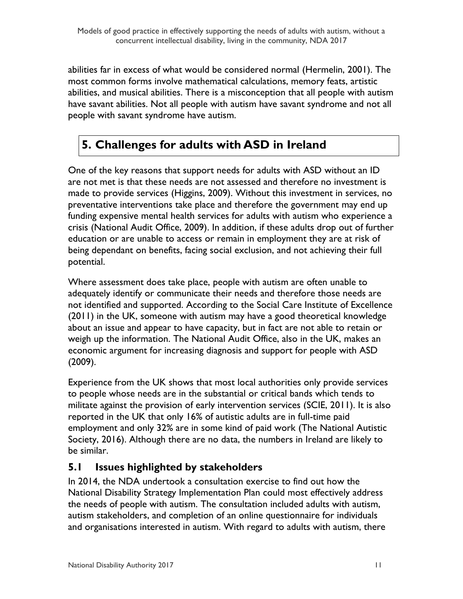abilities far in excess of what would be considered normal (Hermelin, 2001). The most common forms involve mathematical calculations, memory feats, artistic abilities, and musical abilities. There is a misconception that all people with autism have savant abilities. Not all people with autism have savant syndrome and not all people with savant syndrome have autism.

# <span id="page-11-0"></span>**5. Challenges for adults with ASD in Ireland**

One of the key reasons that support needs for adults with ASD without an ID are not met is that these needs are not assessed and therefore no investment is made to provide services (Higgins, 2009). Without this investment in services, no preventative interventions take place and therefore the government may end up funding expensive mental health services for adults with autism who experience a crisis (National Audit Office, 2009). In addition, if these adults drop out of further education or are unable to access or remain in employment they are at risk of being dependant on benefits, facing social exclusion, and not achieving their full potential.

Where assessment does take place, people with autism are often unable to adequately identify or communicate their needs and therefore those needs are not identified and supported. According to the Social Care Institute of Excellence (2011) in the UK, someone with autism may have a good theoretical knowledge about an issue and appear to have capacity, but in fact are not able to retain or weigh up the information. The National Audit Office, also in the UK, makes an economic argument for increasing diagnosis and support for people with ASD (2009).

Experience from the UK shows that most local authorities only provide services to people whose needs are in the substantial or critical bands which tends to militate against the provision of early intervention services (SCIE, 2011). It is also reported in the UK that only 16% of autistic adults are in full-time paid employment and only 32% are in some kind of paid work (The National Autistic Society, 2016). Although there are no data, the numbers in Ireland are likely to be similar.

## <span id="page-11-1"></span>**5.1 Issues highlighted by stakeholders**

In 2014, the NDA undertook a consultation exercise to find out how the National Disability Strategy Implementation Plan could most effectively address the needs of people with autism. The consultation included adults with autism, autism stakeholders, and completion of an online questionnaire for individuals and organisations interested in autism. With regard to adults with autism, there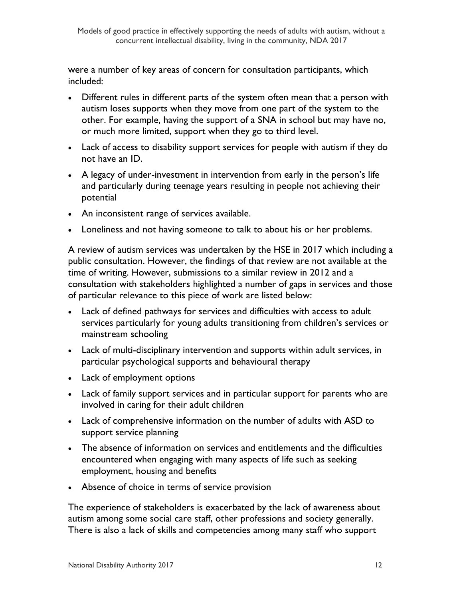were a number of key areas of concern for consultation participants, which included:

- Different rules in different parts of the system often mean that a person with autism loses supports when they move from one part of the system to the other. For example, having the support of a SNA in school but may have no, or much more limited, support when they go to third level.
- Lack of access to disability support services for people with autism if they do not have an ID.
- A legacy of under-investment in intervention from early in the person's life and particularly during teenage years resulting in people not achieving their potential
- An inconsistent range of services available.
- Loneliness and not having someone to talk to about his or her problems.

A review of autism services was undertaken by the HSE in 2017 which including a public consultation. However, the findings of that review are not available at the time of writing. However, submissions to a similar review in 2012 and a consultation with stakeholders highlighted a number of gaps in services and those of particular relevance to this piece of work are listed below:

- Lack of defined pathways for services and difficulties with access to adult services particularly for young adults transitioning from children's services or mainstream schooling
- Lack of multi-disciplinary intervention and supports within adult services, in particular psychological supports and behavioural therapy
- Lack of employment options
- Lack of family support services and in particular support for parents who are involved in caring for their adult children
- Lack of comprehensive information on the number of adults with ASD to support service planning
- The absence of information on services and entitlements and the difficulties encountered when engaging with many aspects of life such as seeking employment, housing and benefits
- Absence of choice in terms of service provision

The experience of stakeholders is exacerbated by the lack of awareness about autism among some social care staff, other professions and society generally. There is also a lack of skills and competencies among many staff who support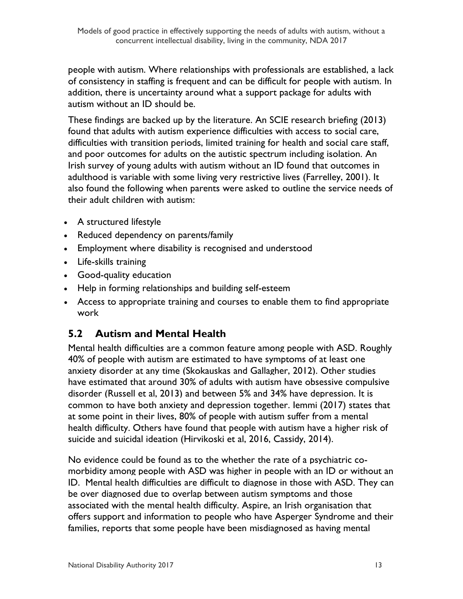people with autism. Where relationships with professionals are established, a lack of consistency in staffing is frequent and can be difficult for people with autism. In addition, there is uncertainty around what a support package for adults with autism without an ID should be.

These findings are backed up by the literature. An SCIE research briefing (2013) found that adults with autism experience difficulties with access to social care, difficulties with transition periods, limited training for health and social care staff, and poor outcomes for adults on the autistic spectrum including isolation. An Irish survey of young adults with autism without an ID found that outcomes in adulthood is variable with some living very restrictive lives (Farrelley, 2001). It also found the following when parents were asked to outline the service needs of their adult children with autism:

- A structured lifestyle
- Reduced dependency on parents/family
- Employment where disability is recognised and understood
- Life-skills training
- Good-quality education
- Help in forming relationships and building self-esteem
- Access to appropriate training and courses to enable them to find appropriate work

## <span id="page-13-0"></span>**5.2 Autism and Mental Health**

Mental health difficulties are a common feature among people with ASD. Roughly 40% of people with autism are estimated to have symptoms of at least one anxiety disorder at any time (Skokauskas and Gallagher, 2012). Other studies have estimated that around 30% of adults with autism have obsessive compulsive disorder (Russell et al, 2013) and between 5% and 34% have depression. It is common to have both anxiety and depression together. Iemmi (2017) states that at some point in their lives, 80% of people with autism suffer from a mental health difficulty. Others have found that people with autism have a higher risk of suicide and suicidal ideation (Hirvikoski et al, 2016, Cassidy, 2014).

No evidence could be found as to the whether the rate of a psychiatric comorbidity among people with ASD was higher in people with an ID or without an ID. Mental health difficulties are difficult to diagnose in those with ASD. They can be over diagnosed due to overlap between autism symptoms and those associated with the mental health difficulty. Aspire, an Irish organisation that offers support and information to people who have Asperger Syndrome and their families, reports that some people have been misdiagnosed as having mental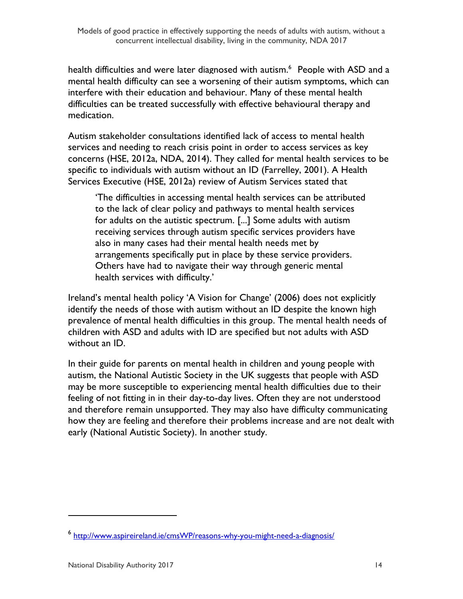health difficulties and were later diagnosed with autism.<sup>6</sup> People with ASD and a mental health difficulty can see a worsening of their autism symptoms, which can interfere with their education and behaviour. Many of these mental health difficulties can be treated successfully with effective behavioural therapy and medication.

Autism stakeholder consultations identified lack of access to mental health services and needing to reach crisis point in order to access services as key concerns (HSE, 2012a, NDA, 2014). They called for mental health services to be specific to individuals with autism without an ID (Farrelley, 2001). A Health Services Executive (HSE, 2012a) review of Autism Services stated that

'The difficulties in accessing mental health services can be attributed to the lack of clear policy and pathways to mental health services for adults on the autistic spectrum. [...] Some adults with autism receiving services through autism specific services providers have also in many cases had their mental health needs met by arrangements specifically put in place by these service providers. Others have had to navigate their way through generic mental health services with difficulty.'

Ireland's mental health policy 'A Vision for Change' (2006) does not explicitly identify the needs of those with autism without an ID despite the known high prevalence of mental health difficulties in this group. The mental health needs of children with ASD and adults with ID are specified but not adults with ASD without an ID.

In their guide for parents on mental health in children and young people with autism, the National Autistic Society in the UK suggests that people with ASD may be more susceptible to experiencing mental health difficulties due to their feeling of not fitting in in their day-to-day lives. Often they are not understood and therefore remain unsupported. They may also have difficulty communicating how they are feeling and therefore their problems increase and are not dealt with early (National Autistic Society). In another study.

<sup>6</sup> <http://www.aspireireland.ie/cmsWP/reasons-why-you-might-need-a-diagnosis/>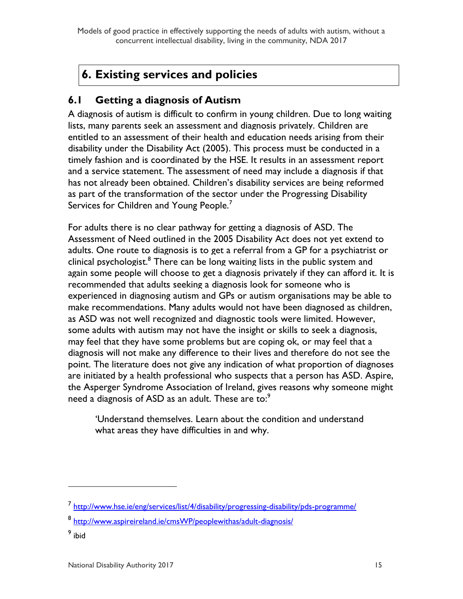Models of good practice in effectively supporting the needs of adults with autism, without a concurrent intellectual disability, living in the community, NDA 2017

# <span id="page-15-0"></span>**6. Existing services and policies**

### <span id="page-15-1"></span>**6.1 Getting a diagnosis of Autism**

A diagnosis of autism is difficult to confirm in young children. Due to long waiting lists, many parents seek an assessment and diagnosis privately. Children are entitled to an assessment of their health and education needs arising from their disability under the Disability Act (2005). This process must be conducted in a timely fashion and is coordinated by the HSE. It results in an assessment report and a service statement. The assessment of need may include a diagnosis if that has not already been obtained. Children's disability services are being reformed as part of the transformation of the sector under the Progressing Disability Services for Children and Young People.<sup>7</sup>

For adults there is no clear pathway for getting a diagnosis of ASD. The Assessment of Need outlined in the 2005 Disability Act does not yet extend to adults. One route to diagnosis is to get a referral from a GP for a psychiatrist or clinical psychologist.<sup>8</sup> There can be long waiting lists in the public system and again some people will choose to get a diagnosis privately if they can afford it. It is recommended that adults seeking a diagnosis look for someone who is experienced in diagnosing autism and GPs or autism organisations may be able to make recommendations. Many adults would not have been diagnosed as children, as ASD was not well recognized and diagnostic tools were limited. However, some adults with autism may not have the insight or skills to seek a diagnosis, may feel that they have some problems but are coping ok, or may feel that a diagnosis will not make any difference to their lives and therefore do not see the point. The literature does not give any indication of what proportion of diagnoses are initiated by a health professional who suspects that a person has ASD. Aspire, the Asperger Syndrome Association of Ireland, gives reasons why someone might need a diagnosis of ASD as an adult. These are to:<sup>9</sup>

'Understand themselves. Learn about the condition and understand what areas they have difficulties in and why.

<sup>&</sup>lt;sup>7</sup> <http://www.hse.ie/eng/services/list/4/disability/progressing-disability/pds-programme/>

<sup>&</sup>lt;sup>8</sup> <u><http://www.aspireireland.ie/cmsWP/peoplewithas/adult-diagnosis/></u>

<sup>&</sup>lt;sup>9</sup> ibid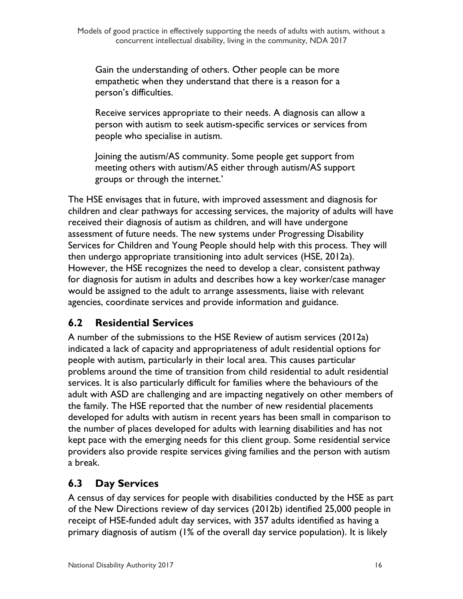Gain the understanding of others. Other people can be more empathetic when they understand that there is a reason for a person's difficulties.

Receive services appropriate to their needs. A diagnosis can allow a person with autism to seek autism-specific services or services from people who specialise in autism.

Joining the autism/AS community. Some people get support from meeting others with autism/AS either through autism/AS support groups or through the internet.'

The HSE envisages that in future, with improved assessment and diagnosis for children and clear pathways for accessing services, the majority of adults will have received their diagnosis of autism as children, and will have undergone assessment of future needs. The new systems under Progressing Disability Services for Children and Young People should help with this process. They will then undergo appropriate transitioning into adult services (HSE, 2012a). However, the HSE recognizes the need to develop a clear, consistent pathway for diagnosis for autism in adults and describes how a key worker/case manager would be assigned to the adult to arrange assessments, liaise with relevant agencies, coordinate services and provide information and guidance.

## <span id="page-16-0"></span>**6.2 Residential Services**

A number of the submissions to the HSE Review of autism services (2012a) indicated a lack of capacity and appropriateness of adult residential options for people with autism, particularly in their local area. This causes particular problems around the time of transition from child residential to adult residential services. It is also particularly difficult for families where the behaviours of the adult with ASD are challenging and are impacting negatively on other members of the family. The HSE reported that the number of new residential placements developed for adults with autism in recent years has been small in comparison to the number of places developed for adults with learning disabilities and has not kept pace with the emerging needs for this client group. Some residential service providers also provide respite services giving families and the person with autism a break.

## <span id="page-16-1"></span>**6.3 Day Services**

A census of day services for people with disabilities conducted by the HSE as part of the New Directions review of day services (2012b) identified 25,000 people in receipt of HSE-funded adult day services, with 357 adults identified as having a primary diagnosis of autism (1% of the overall day service population). It is likely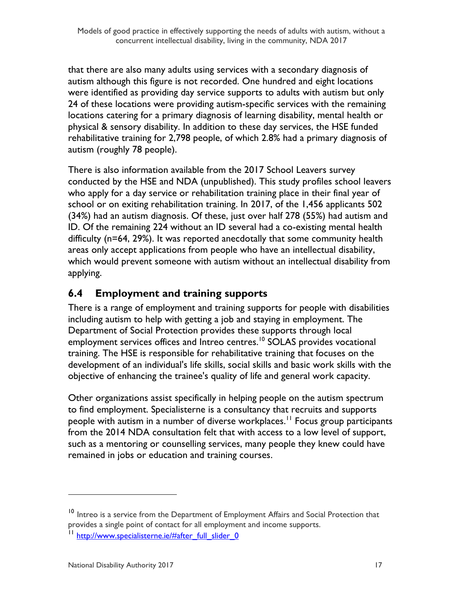that there are also many adults using services with a secondary diagnosis of autism although this figure is not recorded. One hundred and eight locations were identified as providing day service supports to adults with autism but only 24 of these locations were providing autism-specific services with the remaining locations catering for a primary diagnosis of learning disability, mental health or physical & sensory disability. In addition to these day services, the HSE funded rehabilitative training for 2,798 people, of which 2.8% had a primary diagnosis of autism (roughly 78 people).

There is also information available from the 2017 School Leavers survey conducted by the HSE and NDA (unpublished). This study profiles school leavers who apply for a day service or rehabilitation training place in their final year of school or on exiting rehabilitation training. In 2017, of the 1,456 applicants 502 (34%) had an autism diagnosis. Of these, just over half 278 (55%) had autism and ID. Of the remaining 224 without an ID several had a co-existing mental health difficulty (n=64, 29%). It was reported anecdotally that some community health areas only accept applications from people who have an intellectual disability, which would prevent someone with autism without an intellectual disability from applying.

## <span id="page-17-0"></span>**6.4 Employment and training supports**

There is a range of employment and training supports for people with disabilities including autism to help with getting a job and staying in employment. The Department of Social Protection provides these supports through local employment services offices and Intreo centres.<sup>10</sup> SOLAS provides vocational training. The HSE is responsible for rehabilitative training that focuses on the development of an individual's life skills, social skills and basic work skills with the objective of enhancing the trainee's quality of life and general work capacity.

Other organizations assist specifically in helping people on the autism spectrum to find employment. Specialisterne is a consultancy that recruits and supports people with autism in a number of diverse workplaces.<sup>11</sup> Focus group participants from the 2014 NDA consultation felt that with access to a low level of support, such as a mentoring or counselling services, many people they knew could have remained in jobs or education and training courses.

 $\overline{a}$ 

<sup>&</sup>lt;sup>10</sup> Intreo is a service from the Department of Employment Affairs and Social Protection that provides a single point of contact for all employment and income supports.

<sup>&</sup>lt;sup>11</sup> [http://www.specialisterne.ie/#after\\_full\\_slider\\_0](http://www.specialisterne.ie/#after_full_slider_0)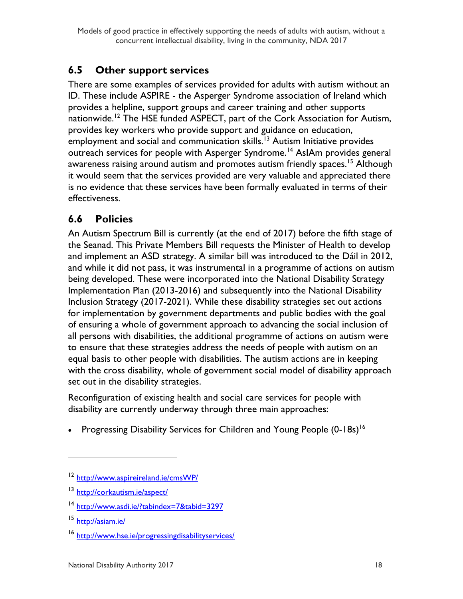## <span id="page-18-0"></span>**6.5 Other support services**

There are some examples of services provided for adults with autism without an ID. These include ASPIRE - the Asperger Syndrome association of Ireland which provides a helpline, support groups and career training and other supports nationwide.<sup>12</sup> The HSE funded ASPECT, part of the Cork Association for Autism, provides key workers who provide support and guidance on education, employment and social and communication skills.<sup>13</sup> Autism Initiative provides outreach services for people with Asperger Syndrome.<sup>14</sup> AsIAm provides general awareness raising around autism and promotes autism friendly spaces.<sup>15</sup> Although it would seem that the services provided are very valuable and appreciated there is no evidence that these services have been formally evaluated in terms of their effectiveness.

# <span id="page-18-1"></span>**6.6 Policies**

An Autism Spectrum Bill is currently (at the end of 2017) before the fifth stage of the Seanad. This Private Members Bill requests the Minister of Health to develop and implement an ASD strategy. A similar bill was introduced to the Dáil in 2012, and while it did not pass, it was instrumental in a programme of actions on autism being developed. These were incorporated into the National Disability Strategy Implementation Plan (2013-2016) and subsequently into the National Disability Inclusion Strategy (2017-2021). While these disability strategies set out actions for implementation by government departments and public bodies with the goal of ensuring a whole of government approach to advancing the social inclusion of all persons with disabilities, the additional programme of actions on autism were to ensure that these strategies address the needs of people with autism on an equal basis to other people with disabilities. The autism actions are in keeping with the cross disability, whole of government social model of disability approach set out in the disability strategies.

Reconfiguration of existing health and social care services for people with disability are currently underway through three main approaches:

• Progressing Disability Services for Children and Young People (0-18s)<sup>16</sup>

<sup>12</sup> <http://www.aspireireland.ie/cmsWP/>

<sup>13</sup> <http://corkautism.ie/aspect/>

<sup>14</sup> <http://www.asdi.ie/?tabindex=7&tabid=3297>

<sup>15</sup> <http://asiam.ie/>

<sup>16</sup> <http://www.hse.ie/progressingdisabilityservices/>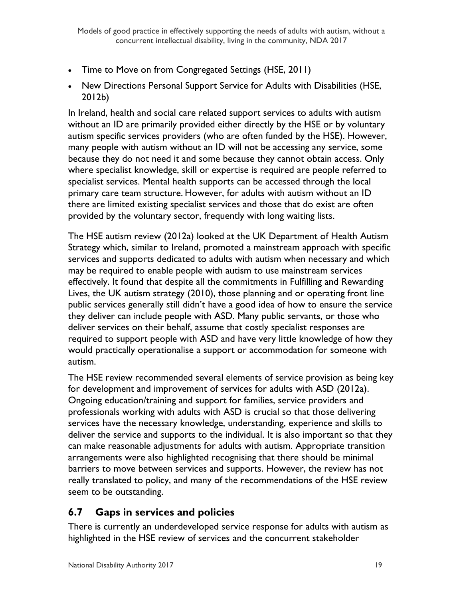- Time to Move on from Congregated Settings (HSE, 2011)
- New Directions Personal Support Service for Adults with Disabilities (HSE, 2012b)

In Ireland, health and social care related support services to adults with autism without an ID are primarily provided either directly by the HSE or by voluntary autism specific services providers (who are often funded by the HSE). However, many people with autism without an ID will not be accessing any service, some because they do not need it and some because they cannot obtain access. Only where specialist knowledge, skill or expertise is required are people referred to specialist services. Mental health supports can be accessed through the local primary care team structure. However, for adults with autism without an ID there are limited existing specialist services and those that do exist are often provided by the voluntary sector, frequently with long waiting lists.

The HSE autism review (2012a) looked at the UK Department of Health Autism Strategy which, similar to Ireland, promoted a mainstream approach with specific services and supports dedicated to adults with autism when necessary and which may be required to enable people with autism to use mainstream services effectively. It found that despite all the commitments in Fulfilling and Rewarding Lives, the UK autism strategy (2010), those planning and or operating front line public services generally still didn't have a good idea of how to ensure the service they deliver can include people with ASD. Many public servants, or those who deliver services on their behalf, assume that costly specialist responses are required to support people with ASD and have very little knowledge of how they would practically operationalise a support or accommodation for someone with autism.

The HSE review recommended several elements of service provision as being key for development and improvement of services for adults with ASD (2012a). Ongoing education/training and support for families, service providers and professionals working with adults with ASD is crucial so that those delivering services have the necessary knowledge, understanding, experience and skills to deliver the service and supports to the individual. It is also important so that they can make reasonable adjustments for adults with autism. Appropriate transition arrangements were also highlighted recognising that there should be minimal barriers to move between services and supports. However, the review has not really translated to policy, and many of the recommendations of the HSE review seem to be outstanding.

## <span id="page-19-0"></span>**6.7 Gaps in services and policies**

There is currently an underdeveloped service response for adults with autism as highlighted in the HSE review of services and the concurrent stakeholder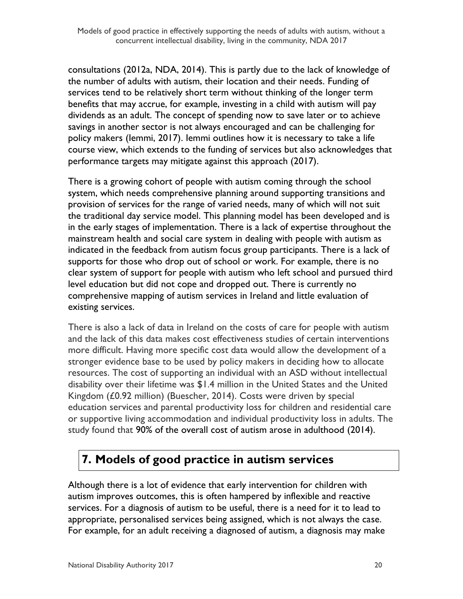consultations (2012a, NDA, 2014). This is partly due to the lack of knowledge of the number of adults with autism, their location and their needs. Funding of services tend to be relatively short term without thinking of the longer term benefits that may accrue, for example, investing in a child with autism will pay dividends as an adult. The concept of spending now to save later or to achieve savings in another sector is not always encouraged and can be challenging for policy makers (Iemmi, 2017). Iemmi outlines how it is necessary to take a life course view, which extends to the funding of services but also acknowledges that performance targets may mitigate against this approach (2017).

There is a growing cohort of people with autism coming through the school system, which needs comprehensive planning around supporting transitions and provision of services for the range of varied needs, many of which will not suit the traditional day service model. This planning model has been developed and is in the early stages of implementation. There is a lack of expertise throughout the mainstream health and social care system in dealing with people with autism as indicated in the feedback from autism focus group participants. There is a lack of supports for those who drop out of school or work. For example, there is no clear system of support for people with autism who left school and pursued third level education but did not cope and dropped out. There is currently no comprehensive mapping of autism services in Ireland and little evaluation of existing services.

There is also a lack of data in Ireland on the costs of care for people with autism and the lack of this data makes cost effectiveness studies of certain interventions more difficult. Having more specific cost data would allow the development of a stronger evidence base to be used by policy makers in deciding how to allocate resources. The cost of supporting an individual with an ASD without intellectual disability over their lifetime was \$1.4 million in the United States and the United Kingdom (£0.92 million) (Buescher, 2014). Costs were driven by special education services and parental productivity loss for children and residential care or supportive living accommodation and individual productivity loss in adults. The study found that 90% of the overall cost of autism arose in adulthood (2014).

# <span id="page-20-0"></span>**7. Models of good practice in autism services**

Although there is a lot of evidence that early intervention for children with autism improves outcomes, this is often hampered by inflexible and reactive services. For a diagnosis of autism to be useful, there is a need for it to lead to appropriate, personalised services being assigned, which is not always the case. For example, for an adult receiving a diagnosed of autism, a diagnosis may make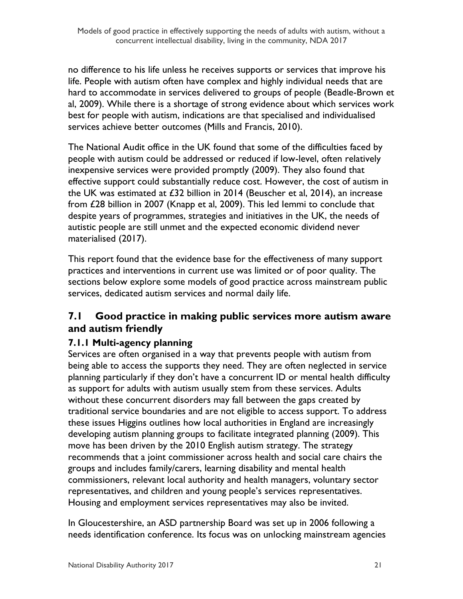no difference to his life unless he receives supports or services that improve his life. People with autism often have complex and highly individual needs that are hard to accommodate in services delivered to groups of people (Beadle-Brown et al, 2009). While there is a shortage of strong evidence about which services work best for people with autism, indications are that specialised and individualised services achieve better outcomes (Mills and Francis, 2010).

The National Audit office in the UK found that some of the difficulties faced by people with autism could be addressed or reduced if low-level, often relatively inexpensive services were provided promptly (2009). They also found that effective support could substantially reduce cost. However, the cost of autism in the UK was estimated at £32 billion in 2014 (Beuscher et al, 2014), an increase from £28 billion in 2007 (Knapp et al, 2009). This led Iemmi to conclude that despite years of programmes, strategies and initiatives in the UK, the needs of autistic people are still unmet and the expected economic dividend never materialised (2017).

This report found that the evidence base for the effectiveness of many support practices and interventions in current use was limited or of poor quality. The sections below explore some models of good practice across mainstream public services, dedicated autism services and normal daily life.

### <span id="page-21-0"></span>**7.1 Good practice in making public services more autism aware and autism friendly**

### **7.1.1 Multi-agency planning**

Services are often organised in a way that prevents people with autism from being able to access the supports they need. They are often neglected in service planning particularly if they don't have a concurrent ID or mental health difficulty as support for adults with autism usually stem from these services. Adults without these concurrent disorders may fall between the gaps created by traditional service boundaries and are not eligible to access support. To address these issues Higgins outlines how local authorities in England are increasingly developing autism planning groups to facilitate integrated planning (2009). This move has been driven by the 2010 English autism strategy. The strategy recommends that a joint commissioner across health and social care chairs the groups and includes family/carers, learning disability and mental health commissioners, relevant local authority and health managers, voluntary sector representatives, and children and young people's services representatives. Housing and employment services representatives may also be invited.

In Gloucestershire, an ASD partnership Board was set up in 2006 following a needs identification conference. Its focus was on unlocking mainstream agencies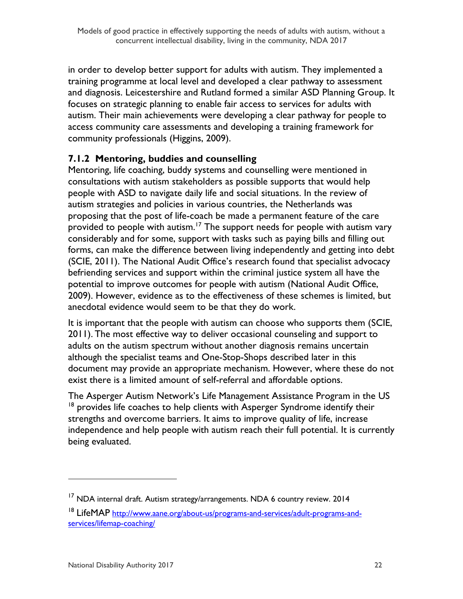in order to develop better support for adults with autism. They implemented a training programme at local level and developed a clear pathway to assessment and diagnosis. Leicestershire and Rutland formed a similar ASD Planning Group. It focuses on strategic planning to enable fair access to services for adults with autism. Their main achievements were developing a clear pathway for people to access community care assessments and developing a training framework for community professionals (Higgins, 2009).

### **7.1.2 Mentoring, buddies and counselling**

Mentoring, life coaching, buddy systems and counselling were mentioned in consultations with autism stakeholders as possible supports that would help people with ASD to navigate daily life and social situations. In the review of autism strategies and policies in various countries, the Netherlands was proposing that the post of life-coach be made a permanent feature of the care provided to people with autism.<sup>17</sup> The support needs for people with autism vary considerably and for some, support with tasks such as paying bills and filling out forms, can make the difference between living independently and getting into debt (SCIE, 2011). The National Audit Office's research found that specialist advocacy befriending services and support within the criminal justice system all have the potential to improve outcomes for people with autism (National Audit Office, 2009). However, evidence as to the effectiveness of these schemes is limited, but anecdotal evidence would seem to be that they do work.

It is important that the people with autism can choose who supports them (SCIE, 2011). The most effective way to deliver occasional counseling and support to adults on the autism spectrum without another diagnosis remains uncertain although the specialist teams and One-Stop-Shops described later in this document may provide an appropriate mechanism. However, where these do not exist there is a limited amount of self-referral and affordable options.

The Asperger Autism Network's Life Management Assistance Program in the US  $18$  provides life coaches to help clients with Asperger Syndrome identify their strengths and overcome barriers. It aims to improve quality of life, increase independence and help people with autism reach their full potential. It is currently being evaluated.

 $\overline{a}$ 

<sup>&</sup>lt;sup>17</sup> NDA internal draft. Autism strategy/arrangements. NDA 6 country review. 2014

<sup>&</sup>lt;sup>18</sup> LifeMAP [http://www.aane.org/about-us/programs-and-services/adult-programs-and](http://www.aane.org/about-us/programs-and-services/adult-programs-and-services/lifemap-coaching/)[services/lifemap-coaching/](http://www.aane.org/about-us/programs-and-services/adult-programs-and-services/lifemap-coaching/)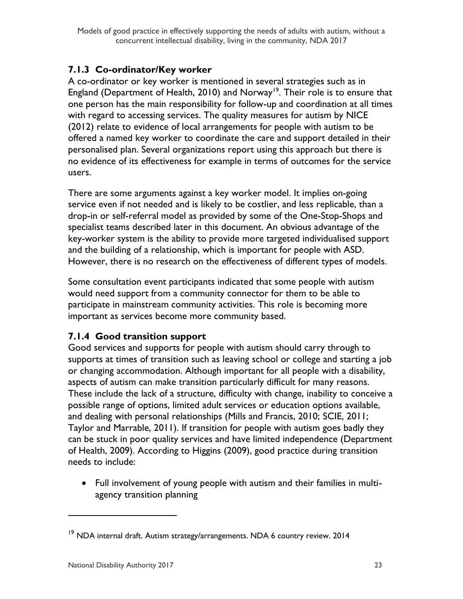### **7.1.3 Co-ordinator/Key worker**

A co-ordinator or key worker is mentioned in several strategies such as in England (Department of Health, 2010) and Norway<sup>19</sup>. Their role is to ensure that one person has the main responsibility for follow-up and coordination at all times with regard to accessing services. The quality measures for autism by NICE (2012) relate to evidence of local arrangements for people with autism to be offered a named key worker to coordinate the care and support detailed in their personalised plan. Several organizations report using this approach but there is no evidence of its effectiveness for example in terms of outcomes for the service users.

There are some arguments against a key worker model. It implies on-going service even if not needed and is likely to be costlier, and less replicable, than a drop-in or self-referral model as provided by some of the One-Stop-Shops and specialist teams described later in this document. An obvious advantage of the key-worker system is the ability to provide more targeted individualised support and the building of a relationship, which is important for people with ASD. However, there is no research on the effectiveness of different types of models.

Some consultation event participants indicated that some people with autism would need support from a community connector for them to be able to participate in mainstream community activities. This role is becoming more important as services become more community based.

#### **7.1.4 Good transition support**

Good services and supports for people with autism should carry through to supports at times of transition such as leaving school or college and starting a job or changing accommodation. Although important for all people with a disability, aspects of autism can make transition particularly difficult for many reasons. These include the lack of a structure, difficulty with change, inability to conceive a possible range of options, limited adult services or education options available, and dealing with personal relationships (Mills and Francis, 2010; SCIE, 2011; Taylor and Marrable, 2011). If transition for people with autism goes badly they can be stuck in poor quality services and have limited independence (Department of Health, 2009). According to Higgins (2009), good practice during transition needs to include:

 Full involvement of young people with autism and their families in multiagency transition planning

<sup>&</sup>lt;sup>19</sup> NDA internal draft. Autism strategy/arrangements. NDA 6 country review. 2014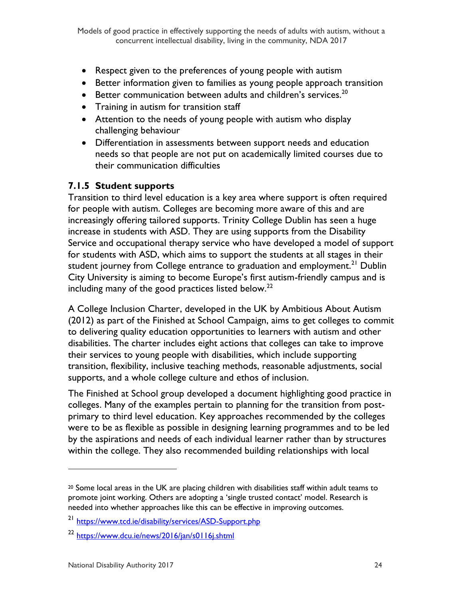- Respect given to the preferences of young people with autism
- Better information given to families as young people approach transition
- $\bullet$  Better communication between adults and children's services.<sup>20</sup>
- Training in autism for transition staff
- Attention to the needs of young people with autism who display challenging behaviour
- Differentiation in assessments between support needs and education needs so that people are not put on academically limited courses due to their communication difficulties

#### **7.1.5 Student supports**

Transition to third level education is a key area where support is often required for people with autism. Colleges are becoming more aware of this and are increasingly offering tailored supports. Trinity College Dublin has seen a huge increase in students with ASD. They are using supports from the Disability Service and occupational therapy service who have developed a model of support for students with ASD, which aims to support the students at all stages in their student journey from College entrance to graduation and employment.<sup>21</sup> Dublin City University is aiming to become Europe's first autism-friendly campus and is including many of the good practices listed below.<sup>22</sup>

A College Inclusion Charter, developed in the UK by Ambitious About Autism (2012) as part of the Finished at School Campaign, aims to get colleges to commit to delivering quality education opportunities to learners with autism and other disabilities. The charter includes eight actions that colleges can take to improve their services to young people with disabilities, which include supporting transition, flexibility, inclusive teaching methods, reasonable adjustments, social supports, and a whole college culture and ethos of inclusion.

The Finished at School group developed a document highlighting good practice in colleges. Many of the examples pertain to planning for the transition from postprimary to third level education. Key approaches recommended by the colleges were to be as flexible as possible in designing learning programmes and to be led by the aspirations and needs of each individual learner rather than by structures within the college. They also recommended building relationships with local

 $\overline{a}$ 

 $20$  Some local areas in the UK are placing children with disabilities staff within adult teams to promote joint working. Others are adopting a 'single trusted contact' model. Research is needed into whether approaches like this can be effective in improving outcomes.

<sup>21</sup> <https://www.tcd.ie/disability/services/ASD-Support.php>

<sup>&</sup>lt;sup>22</sup> <https://www.dcu.ie/news/2016/jan/s0116j.shtml>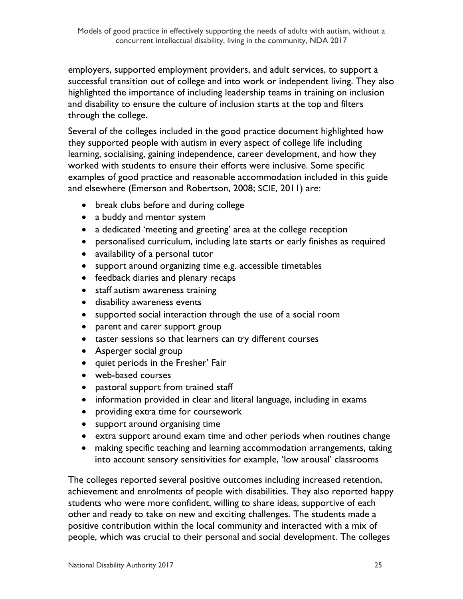employers, supported employment providers, and adult services, to support a successful transition out of college and into work or independent living. They also highlighted the importance of including leadership teams in training on inclusion and disability to ensure the culture of inclusion starts at the top and filters through the college.

Several of the colleges included in the good practice document highlighted how they supported people with autism in every aspect of college life including learning, socialising, gaining independence, career development, and how they worked with students to ensure their efforts were inclusive. Some specific examples of good practice and reasonable accommodation included in this guide and elsewhere (Emerson and Robertson, 2008; SCIE, 2011) are:

- break clubs before and during college
- a buddy and mentor system
- a dedicated 'meeting and greeting' area at the college reception
- personalised curriculum, including late starts or early finishes as required
- availability of a personal tutor
- support around organizing time e.g. accessible timetables
- feedback diaries and plenary recaps
- staff autism awareness training
- disability awareness events
- supported social interaction through the use of a social room
- parent and carer support group
- taster sessions so that learners can try different courses
- Asperger social group
- quiet periods in the Fresher' Fair
- web-based courses
- pastoral support from trained staff
- information provided in clear and literal language, including in exams
- providing extra time for coursework
- support around organising time
- extra support around exam time and other periods when routines change
- making specific teaching and learning accommodation arrangements, taking into account sensory sensitivities for example, 'low arousal' classrooms

The colleges reported several positive outcomes including increased retention, achievement and enrolments of people with disabilities. They also reported happy students who were more confident, willing to share ideas, supportive of each other and ready to take on new and exciting challenges. The students made a positive contribution within the local community and interacted with a mix of people, which was crucial to their personal and social development. The colleges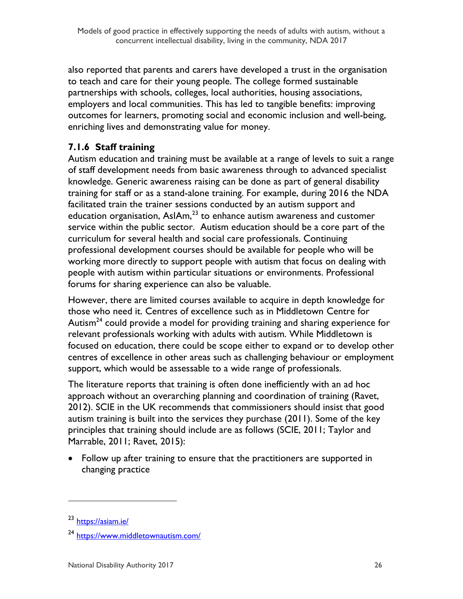also reported that parents and carers have developed a trust in the organisation to teach and care for their young people. The college formed sustainable partnerships with schools, colleges, local authorities, housing associations, employers and local communities. This has led to tangible benefits: improving outcomes for learners, promoting social and economic inclusion and well-being, enriching lives and demonstrating value for money.

### **7.1.6 Staff training**

Autism education and training must be available at a range of levels to suit a range of staff development needs from basic awareness through to advanced specialist knowledge. Generic awareness raising can be done as part of general disability training for staff or as a stand-alone training. For example, during 2016 the NDA facilitated train the trainer sessions conducted by an autism support and education organisation,  $AsIAm<sub>1</sub><sup>23</sup>$  to enhance autism awareness and customer service within the public sector. Autism education should be a core part of the curriculum for several health and social care professionals. Continuing professional development courses should be available for people who will be working more directly to support people with autism that focus on dealing with people with autism within particular situations or environments. Professional forums for sharing experience can also be valuable.

However, there are limited courses available to acquire in depth knowledge for those who need it. Centres of excellence such as in Middletown Centre for Autism<sup>24</sup> could provide a model for providing training and sharing experience for relevant professionals working with adults with autism. While Middletown is focused on education, there could be scope either to expand or to develop other centres of excellence in other areas such as challenging behaviour or employment support, which would be assessable to a wide range of professionals.

The literature reports that training is often done inefficiently with an ad hoc approach without an overarching planning and coordination of training (Ravet, 2012). SCIE in the UK recommends that commissioners should insist that good autism training is built into the services they purchase (2011). Some of the key principles that training should include are as follows (SCIE, 2011; Taylor and Marrable, 2011; Ravet, 2015):

• Follow up after training to ensure that the practitioners are supported in changing practice

<sup>23</sup> <https://asiam.ie/>

<sup>24</sup> <https://www.middletownautism.com/>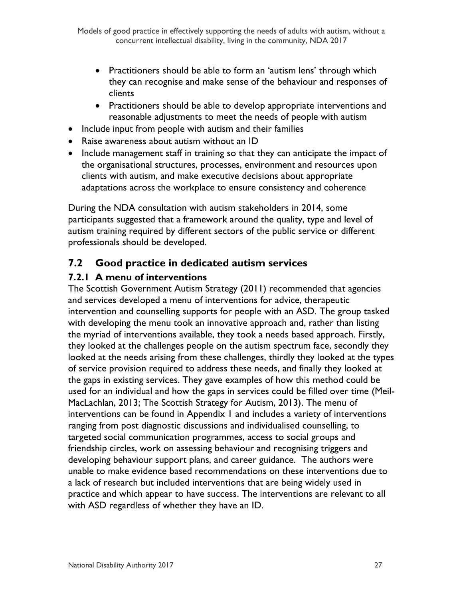- Practitioners should be able to form an 'autism lens' through which they can recognise and make sense of the behaviour and responses of clients
- Practitioners should be able to develop appropriate interventions and reasonable adjustments to meet the needs of people with autism
- Include input from people with autism and their families
- Raise awareness about autism without an ID
- Include management staff in training so that they can anticipate the impact of the organisational structures, processes, environment and resources upon clients with autism, and make executive decisions about appropriate adaptations across the workplace to ensure consistency and coherence

During the NDA consultation with autism stakeholders in 2014, some participants suggested that a framework around the quality, type and level of autism training required by different sectors of the public service or different professionals should be developed.

## <span id="page-27-0"></span>**7.2 Good practice in dedicated autism services**

### **7.2.1 A menu of interventions**

The Scottish Government Autism Strategy (2011) recommended that agencies and services developed a menu of interventions for advice, therapeutic intervention and counselling supports for people with an ASD. The group tasked with developing the menu took an innovative approach and, rather than listing the myriad of interventions available, they took a needs based approach. Firstly, they looked at the challenges people on the autism spectrum face, secondly they looked at the needs arising from these challenges, thirdly they looked at the types of service provision required to address these needs, and finally they looked at the gaps in existing services. They gave examples of how this method could be used for an individual and how the gaps in services could be filled over time (Meil-MacLachlan, 2013; The Scottish Strategy for Autism, 2013). The menu of interventions can be found in Appendix 1 and includes a variety of interventions ranging from post diagnostic discussions and individualised counselling, to targeted social communication programmes, access to social groups and friendship circles, work on assessing behaviour and recognising triggers and developing behaviour support plans, and career guidance. The authors were unable to make evidence based recommendations on these interventions due to a lack of research but included interventions that are being widely used in practice and which appear to have success. The interventions are relevant to all with ASD regardless of whether they have an ID.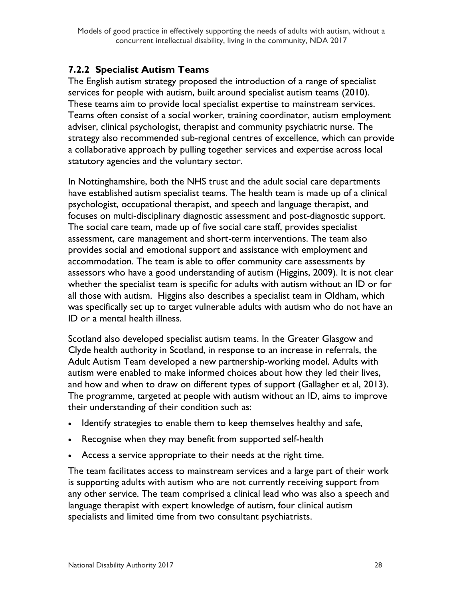### **7.2.2 Specialist Autism Teams**

The English autism strategy proposed the introduction of a range of specialist services for people with autism, built around specialist autism teams (2010). These teams aim to provide local specialist expertise to mainstream services. Teams often consist of a social worker, training coordinator, autism employment adviser, clinical psychologist, therapist and community psychiatric nurse. The strategy also recommended sub-regional centres of excellence, which can provide a collaborative approach by pulling together services and expertise across local statutory agencies and the voluntary sector.

In Nottinghamshire, both the NHS trust and the adult social care departments have established autism specialist teams. The health team is made up of a clinical psychologist, occupational therapist, and speech and language therapist, and focuses on multi-disciplinary diagnostic assessment and post-diagnostic support. The social care team, made up of five social care staff, provides specialist assessment, care management and short-term interventions. The team also provides social and emotional support and assistance with employment and accommodation. The team is able to offer community care assessments by assessors who have a good understanding of autism (Higgins, 2009). It is not clear whether the specialist team is specific for adults with autism without an ID or for all those with autism. Higgins also describes a specialist team in Oldham, which was specifically set up to target vulnerable adults with autism who do not have an ID or a mental health illness.

Scotland also developed specialist autism teams. In the Greater Glasgow and Clyde health authority in Scotland, in response to an increase in referrals, the Adult Autism Team developed a new partnership-working model. Adults with autism were enabled to make informed choices about how they led their lives, and how and when to draw on different types of support (Gallagher et al, 2013). The programme, targeted at people with autism without an ID, aims to improve their understanding of their condition such as:

- Identify strategies to enable them to keep themselves healthy and safe,
- Recognise when they may benefit from supported self-health
- Access a service appropriate to their needs at the right time.

The team facilitates access to mainstream services and a large part of their work is supporting adults with autism who are not currently receiving support from any other service. The team comprised a clinical lead who was also a speech and language therapist with expert knowledge of autism, four clinical autism specialists and limited time from two consultant psychiatrists.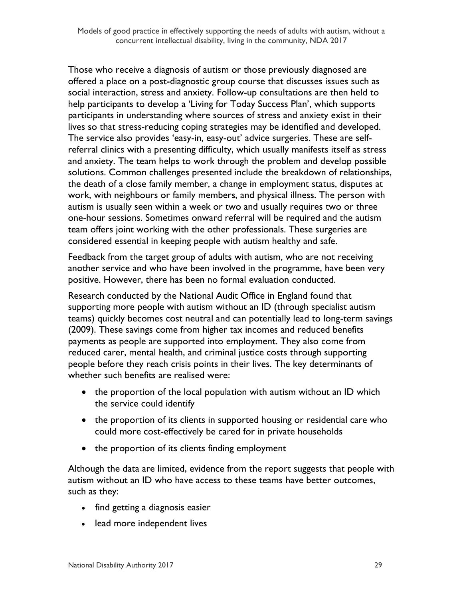Those who receive a diagnosis of autism or those previously diagnosed are offered a place on a post-diagnostic group course that discusses issues such as social interaction, stress and anxiety. Follow-up consultations are then held to help participants to develop a 'Living for Today Success Plan', which supports participants in understanding where sources of stress and anxiety exist in their lives so that stress-reducing coping strategies may be identified and developed. The service also provides 'easy-in, easy-out' advice surgeries. These are selfreferral clinics with a presenting difficulty, which usually manifests itself as stress and anxiety. The team helps to work through the problem and develop possible solutions. Common challenges presented include the breakdown of relationships, the death of a close family member, a change in employment status, disputes at work, with neighbours or family members, and physical illness. The person with autism is usually seen within a week or two and usually requires two or three one-hour sessions. Sometimes onward referral will be required and the autism team offers joint working with the other professionals. These surgeries are considered essential in keeping people with autism healthy and safe.

Feedback from the target group of adults with autism, who are not receiving another service and who have been involved in the programme, have been very positive. However, there has been no formal evaluation conducted.

Research conducted by the National Audit Office in England found that supporting more people with autism without an ID (through specialist autism teams) quickly becomes cost neutral and can potentially lead to long-term savings (2009). These savings come from higher tax incomes and reduced benefits payments as people are supported into employment. They also come from reduced carer, mental health, and criminal justice costs through supporting people before they reach crisis points in their lives. The key determinants of whether such benefits are realised were:

- the proportion of the local population with autism without an ID which the service could identify
- the proportion of its clients in supported housing or residential care who could more cost-effectively be cared for in private households
- the proportion of its clients finding employment

Although the data are limited, evidence from the report suggests that people with autism without an ID who have access to these teams have better outcomes, such as they:

- find getting a diagnosis easier
- lead more independent lives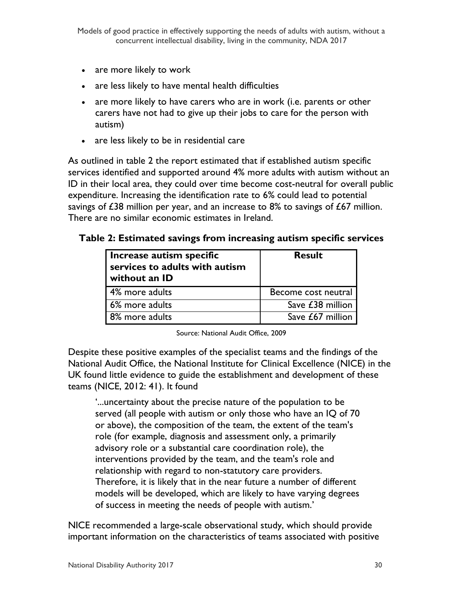- are more likely to work
- are less likely to have mental health difficulties
- are more likely to have carers who are in work (i.e. parents or other carers have not had to give up their jobs to care for the person with autism)
- are less likely to be in residential care

As outlined in table 2 the report estimated that if established autism specific services identified and supported around 4% more adults with autism without an ID in their local area, they could over time become cost-neutral for overall public expenditure. Increasing the identification rate to 6% could lead to potential savings of  $E38$  million per year, and an increase to  $8\%$  to savings of  $E67$  million. There are no similar economic estimates in Ireland.

#### **Table 2: Estimated savings from increasing autism specific services**

| Increase autism specific<br>services to adults with autism<br>without an ID | <b>Result</b>       |  |
|-----------------------------------------------------------------------------|---------------------|--|
| 4% more adults                                                              | Become cost neutral |  |
| 6% more adults                                                              | Save £38 million    |  |
| 8% more adults                                                              | Save £67 million    |  |

Source: National Audit Office, 2009

Despite these positive examples of the specialist teams and the findings of the National Audit Office, the National Institute for Clinical Excellence (NICE) in the UK found little evidence to guide the establishment and development of these teams (NICE, 2012: 41). It found

'...uncertainty about the precise nature of the population to be served (all people with autism or only those who have an IQ of 70 or above), the composition of the team, the extent of the team's role (for example, diagnosis and assessment only, a primarily advisory role or a substantial care coordination role), the interventions provided by the team, and the team's role and relationship with regard to non-statutory care providers. Therefore, it is likely that in the near future a number of different models will be developed, which are likely to have varying degrees of success in meeting the needs of people with autism.'

NICE recommended a large-scale observational study, which should provide important information on the characteristics of teams associated with positive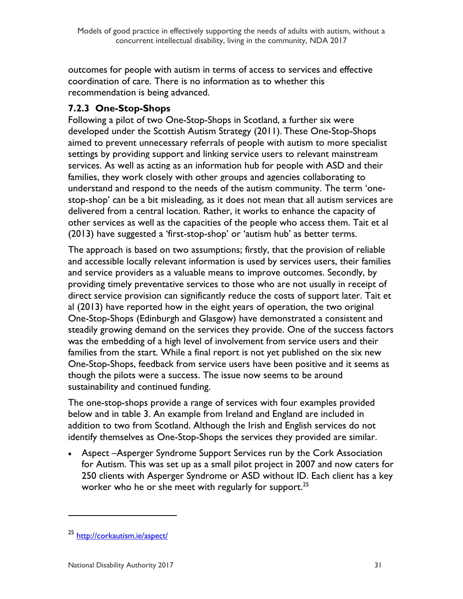outcomes for people with autism in terms of access to services and effective coordination of care. There is no information as to whether this recommendation is being advanced.

### **7.2.3 One-Stop-Shops**

Following a pilot of two One-Stop-Shops in Scotland, a further six were developed under the Scottish Autism Strategy (2011). These One-Stop-Shops aimed to prevent unnecessary referrals of people with autism to more specialist settings by providing support and linking service users to relevant mainstream services. As well as acting as an information hub for people with ASD and their families, they work closely with other groups and agencies collaborating to understand and respond to the needs of the autism community. The term 'onestop-shop' can be a bit misleading, as it does not mean that all autism services are delivered from a central location. Rather, it works to enhance the capacity of other services as well as the capacities of the people who access them. Tait et al (2013) have suggested a 'first-stop-shop' or 'autism hub' as better terms.

The approach is based on two assumptions; firstly, that the provision of reliable and accessible locally relevant information is used by services users, their families and service providers as a valuable means to improve outcomes. Secondly, by providing timely preventative services to those who are not usually in receipt of direct service provision can significantly reduce the costs of support later. Tait et al (2013) have reported how in the eight years of operation, the two original One-Stop-Shops (Edinburgh and Glasgow) have demonstrated a consistent and steadily growing demand on the services they provide. One of the success factors was the embedding of a high level of involvement from service users and their families from the start. While a final report is not yet published on the six new One-Stop-Shops, feedback from service users have been positive and it seems as though the pilots were a success. The issue now seems to be around sustainability and continued funding.

The one-stop-shops provide a range of services with four examples provided below and in table 3. An example from Ireland and England are included in addition to two from Scotland. Although the Irish and English services do not identify themselves as One-Stop-Shops the services they provided are similar.

 Aspect –Asperger Syndrome Support Services run by the Cork Association for Autism. This was set up as a small pilot project in 2007 and now caters for 250 clients with Asperger Syndrome or ASD without ID. Each client has a key worker who he or she meet with regularly for support.  $^{25}$ 

<sup>25</sup> <http://corkautism.ie/aspect/>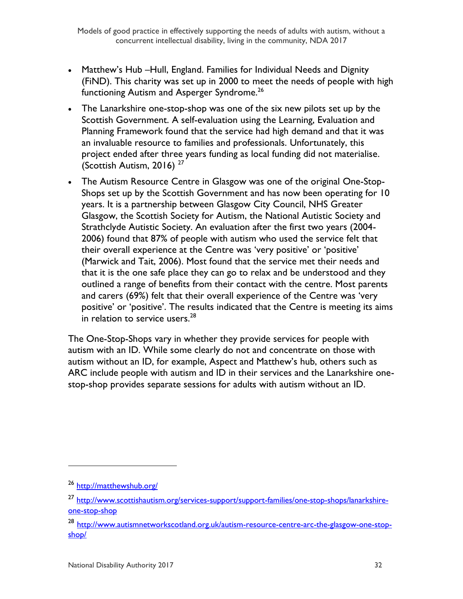- Matthew's Hub –Hull, England. Families for Individual Needs and Dignity (FiND). This charity was set up in 2000 to meet the needs of people with high functioning Autism and Asperger Syndrome.<sup>26</sup>
- The Lanarkshire one-stop-shop was one of the six new pilots set up by the Scottish Government. A self-evaluation using the Learning, Evaluation and Planning Framework found that the service had high demand and that it was an invaluable resource to families and professionals. Unfortunately, this project ended after three years funding as local funding did not materialise. (Scottish Autism, 2016) <sup>27</sup>
- The Autism Resource Centre in Glasgow was one of the original One-Stop-Shops set up by the Scottish Government and has now been operating for 10 years. It is a partnership between Glasgow City Council, NHS Greater Glasgow, the Scottish Society for Autism, the National Autistic Society and Strathclyde Autistic Society. An evaluation after the first two years (2004- 2006) found that 87% of people with autism who used the service felt that their overall experience at the Centre was 'very positive' or 'positive' (Marwick and Tait, 2006). Most found that the service met their needs and that it is the one safe place they can go to relax and be understood and they outlined a range of benefits from their contact with the centre. Most parents and carers (69%) felt that their overall experience of the Centre was 'very positive' or 'positive'. The results indicated that the Centre is meeting its aims in relation to service users. $^{28}$

The One-Stop-Shops vary in whether they provide services for people with autism with an ID. While some clearly do not and concentrate on those with autism without an ID, for example, Aspect and Matthew's hub, others such as ARC include people with autism and ID in their services and the Lanarkshire onestop-shop provides separate sessions for adults with autism without an ID.

<sup>26</sup> <http://matthewshub.org/>

<sup>27</sup> [http://www.scottishautism.org/services-support/support-families/one-stop-shops/lanarkshire](http://www.scottishautism.org/services-support/support-families/one-stop-shops/lanarkshire-one-stop-shop)[one-stop-shop](http://www.scottishautism.org/services-support/support-families/one-stop-shops/lanarkshire-one-stop-shop)

<sup>&</sup>lt;sup>28</sup> [http://www.autismnetworkscotland.org.uk/autism-resource-centre-arc-the-glasgow-one-stop](http://www.autismnetworkscotland.org.uk/autism-resource-centre-arc-the-glasgow-one-stop-shop/)[shop/](http://www.autismnetworkscotland.org.uk/autism-resource-centre-arc-the-glasgow-one-stop-shop/)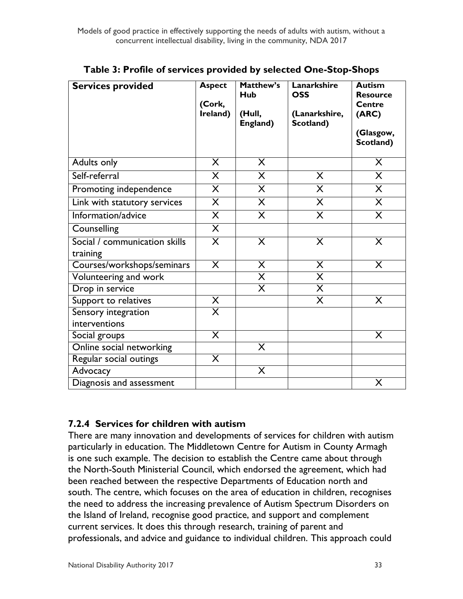| <b>Services provided</b>                  | <b>Aspect</b><br>(Cork,<br>Ireland) | Matthew's<br><b>Hub</b><br>(Hull,<br>England) | Lanarkshire<br><b>OSS</b><br>(Lanarkshire,<br>Scotland) | <b>Autism</b><br><b>Resource</b><br><b>Centre</b><br>(ARC)<br>(Glasgow,<br>Scotland) |
|-------------------------------------------|-------------------------------------|-----------------------------------------------|---------------------------------------------------------|--------------------------------------------------------------------------------------|
| Adults only                               | X                                   | $\sf X$                                       |                                                         | $\overline{\mathsf{X}}$                                                              |
| Self-referral                             | X                                   | $\sf X$                                       | X                                                       | $\sf X$                                                                              |
| Promoting independence                    | $\sf X$                             | $\overline{\mathsf{X}}$                       | $\times$                                                | $\overline{\mathsf{X}}$                                                              |
| Link with statutory services              | $\overline{\mathsf{X}}$             | $\overline{\mathsf{X}}$                       | $\overline{\mathsf{X}}$                                 | $\overline{\mathsf{X}}$                                                              |
| Information/advice                        | $\overline{\mathsf{X}}$             | $\overline{\mathsf{X}}$                       | $\overline{\mathsf{X}}$                                 | $\overline{\mathsf{X}}$                                                              |
| Counselling                               | $\overline{\mathsf{X}}$             |                                               |                                                         |                                                                                      |
| Social / communication skills<br>training | X                                   | X                                             | $\times$                                                | X                                                                                    |
| Courses/workshops/seminars                | $\overline{\mathsf{X}}$             | $\overline{\mathsf{X}}$                       | $\overline{\mathsf{X}}$                                 | $\overline{\mathsf{X}}$                                                              |
| Volunteering and work                     |                                     | $\overline{\mathsf{x}}$                       | $\overline{\mathsf{x}}$                                 |                                                                                      |
| Drop in service                           |                                     | $\overline{\mathsf{X}}$                       | $\overline{\sf X}$                                      |                                                                                      |
| Support to relatives                      | X                                   |                                               | $\overline{\mathsf{X}}$                                 | X                                                                                    |
| Sensory integration<br>interventions      | $\overline{\mathsf{x}}$             |                                               |                                                         |                                                                                      |
| Social groups                             | $\overline{\mathsf{x}}$             |                                               |                                                         | X                                                                                    |
| Online social networking                  |                                     | X                                             |                                                         |                                                                                      |
| Regular social outings                    | X                                   |                                               |                                                         |                                                                                      |
| Advocacy                                  |                                     | X                                             |                                                         |                                                                                      |
| Diagnosis and assessment                  |                                     |                                               |                                                         | X                                                                                    |

**Table 3: Profile of services provided by selected One-Stop-Shops**

#### **7.2.4 Services for children with autism**

There are many innovation and developments of services for children with autism particularly in education. The Middletown Centre for Autism in County Armagh is one such example. The decision to establish the Centre came about through the North-South Ministerial Council, which endorsed the agreement, which had been reached between the respective Departments of Education north and south. The centre, which focuses on the area of education in children, recognises the need to address the increasing prevalence of Autism Spectrum Disorders on the Island of Ireland, recognise good practice, and support and complement current services. It does this through research, training of parent and professionals, and advice and guidance to individual children. This approach could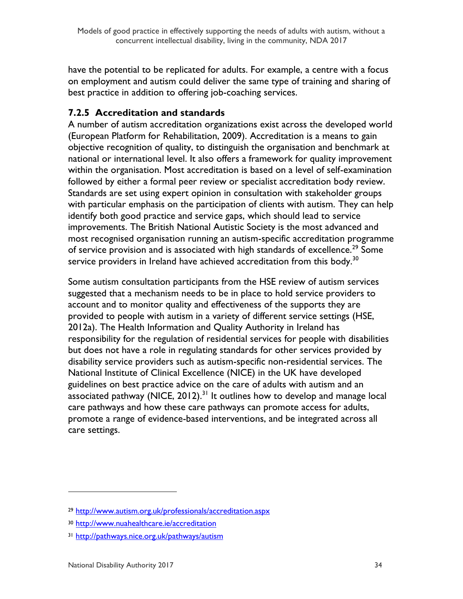have the potential to be replicated for adults. For example, a centre with a focus on employment and autism could deliver the same type of training and sharing of best practice in addition to offering job-coaching services.

#### **7.2.5 Accreditation and standards**

A number of autism accreditation organizations exist across the developed world (European Platform for Rehabilitation, 2009). Accreditation is a means to gain objective recognition of quality, to distinguish the organisation and benchmark at national or international level. It also offers a framework for quality improvement within the organisation. Most accreditation is based on a level of self-examination followed by either a formal peer review or specialist accreditation body review. Standards are set using expert opinion in consultation with stakeholder groups with particular emphasis on the participation of clients with autism. They can help identify both good practice and service gaps, which should lead to service improvements. The British National Autistic Society is the most advanced and most recognised organisation running an autism-specific accreditation programme of service provision and is associated with high standards of excellence.<sup>29</sup> Some service providers in Ireland have achieved accreditation from this body.<sup>30</sup>

Some autism consultation participants from the HSE review of autism services suggested that a mechanism needs to be in place to hold service providers to account and to monitor quality and effectiveness of the supports they are provided to people with autism in a variety of different service settings (HSE, 2012a). The Health Information and Quality Authority in Ireland has responsibility for the regulation of residential services for people with disabilities but does not have a role in regulating standards for other services provided by disability service providers such as autism-specific non-residential services. The National Institute of Clinical Excellence (NICE) in the UK have developed guidelines on best practice advice on the care of adults with autism and an associated pathway (NICE, 2012).<sup>31</sup> It outlines how to develop and manage local care pathways and how these care pathways can promote access for adults, promote a range of evidence-based interventions, and be integrated across all care settings.

<sup>29</sup> <http://www.autism.org.uk/professionals/accreditation.aspx>

<sup>30</sup> <http://www.nuahealthcare.ie/accreditation>

<sup>31</sup> <http://pathways.nice.org.uk/pathways/autism>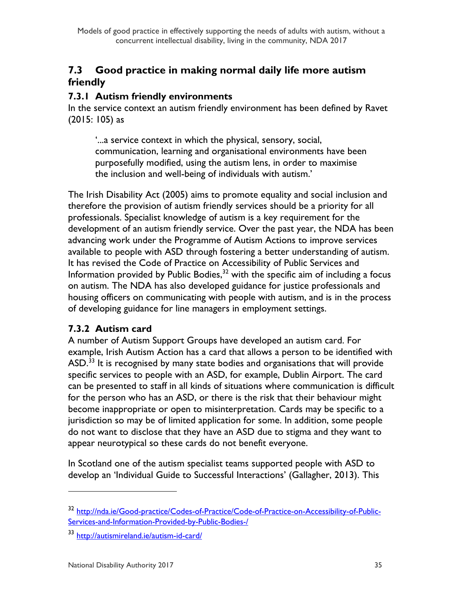## <span id="page-35-0"></span>**7.3 Good practice in making normal daily life more autism friendly**

#### **7.3.1 Autism friendly environments**

In the service context an autism friendly environment has been defined by Ravet (2015: 105) as

'...a service context in which the physical, sensory, social, communication, learning and organisational environments have been purposefully modified, using the autism lens, in order to maximise the inclusion and well-being of individuals with autism.'

The Irish Disability Act (2005) aims to promote equality and social inclusion and therefore the provision of autism friendly services should be a priority for all professionals. Specialist knowledge of autism is a key requirement for the development of an autism friendly service. Over the past year, the NDA has been advancing work under the Programme of Autism Actions to improve services available to people with ASD through fostering a better understanding of autism. It has revised the Code of Practice on Accessibility of Public Services and Information provided by Public Bodies, $^{32}$  with the specific aim of including a focus on autism. The NDA has also developed guidance for justice professionals and housing officers on communicating with people with autism, and is in the process of developing guidance for line managers in employment settings.

#### **7.3.2 Autism card**

A number of Autism Support Groups have developed an autism card. For example, Irish Autism Action has a card that allows a person to be identified with ASD.<sup>33</sup> It is recognised by many state bodies and organisations that will provide specific services to people with an ASD, for example, Dublin Airport. The card can be presented to staff in all kinds of situations where communication is difficult for the person who has an ASD, or there is the risk that their behaviour might become inappropriate or open to misinterpretation. Cards may be specific to a jurisdiction so may be of limited application for some. In addition, some people do not want to disclose that they have an ASD due to stigma and they want to appear neurotypical so these cards do not benefit everyone.

In Scotland one of the autism specialist teams supported people with ASD to develop an 'Individual Guide to Successful Interactions' (Gallagher, 2013). This

<sup>32</sup> [http://nda.ie/Good-practice/Codes-of-Practice/Code-of-Practice-on-Accessibility-of-Public-](http://nda.ie/Good-practice/Codes-of-Practice/Code-of-Practice-on-Accessibility-of-Public-Services-and-Information-Provided-by-Public-Bodies-/)[Services-and-Information-Provided-by-Public-Bodies-/](http://nda.ie/Good-practice/Codes-of-Practice/Code-of-Practice-on-Accessibility-of-Public-Services-and-Information-Provided-by-Public-Bodies-/)

<sup>33</sup> <http://autismireland.ie/autism-id-card/>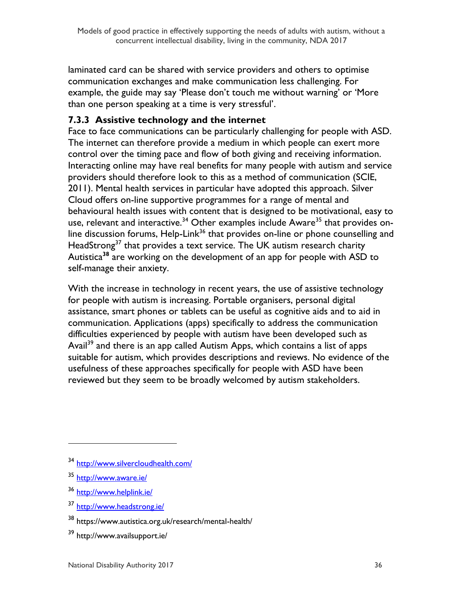laminated card can be shared with service providers and others to optimise communication exchanges and make communication less challenging. For example, the guide may say 'Please don't touch me without warning' or 'More than one person speaking at a time is very stressful'.

### **7.3.3 Assistive technology and the internet**

Face to face communications can be particularly challenging for people with ASD. The internet can therefore provide a medium in which people can exert more control over the timing pace and flow of both giving and receiving information. Interacting online may have real benefits for many people with autism and service providers should therefore look to this as a method of communication (SCIE, 2011). Mental health services in particular have adopted this approach. Silver Cloud offers on-line supportive programmes for a range of mental and behavioural health issues with content that is designed to be motivational, easy to use, relevant and interactive.<sup>34</sup> Other examples include Aware<sup>35</sup> that provides online discussion forums, Help-Link<sup>36</sup> that provides on-line or phone counselling and HeadStrong<sup>37</sup> that provides a text service. The UK autism research charity Autistica**<sup>38</sup>** are working on the development of an app for people with ASD to self-manage their anxiety.

With the increase in technology in recent years, the use of assistive technology for people with autism is increasing. Portable organisers, personal digital assistance, smart phones or tablets can be useful as cognitive aids and to aid in communication. Applications (apps) specifically to address the communication difficulties experienced by people with autism have been developed such as Avail<sup>39</sup> and there is an app called Autism Apps, which contains a list of apps suitable for autism, which provides descriptions and reviews. No evidence of the usefulness of these approaches specifically for people with ASD have been reviewed but they seem to be broadly welcomed by autism stakeholders.

<sup>34</sup> <http://www.silvercloudhealth.com/>

<sup>35</sup> <http://www.aware.ie/>

<sup>36</sup> <http://www.helplink.ie/>

<sup>37</sup> <http://www.headstrong.ie/>

<sup>38</sup> https://www.autistica.org.uk/research/mental-health/

<sup>39</sup> http://www.availsupport.ie/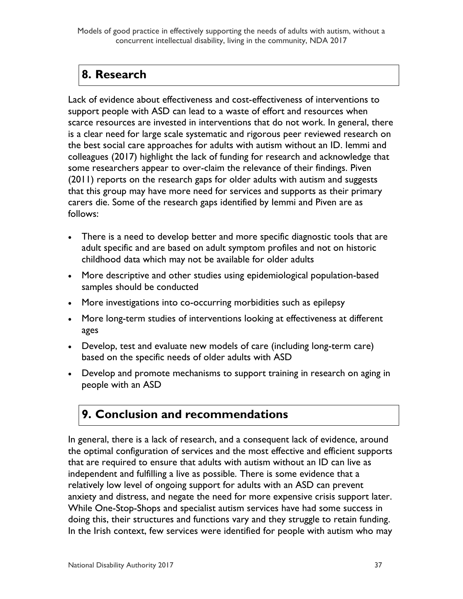Models of good practice in effectively supporting the needs of adults with autism, without a concurrent intellectual disability, living in the community, NDA 2017

# <span id="page-37-0"></span>**8. Research**

Lack of evidence about effectiveness and cost-effectiveness of interventions to support people with ASD can lead to a waste of effort and resources when scarce resources are invested in interventions that do not work. In general, there is a clear need for large scale systematic and rigorous peer reviewed research on the best social care approaches for adults with autism without an ID. Iemmi and colleagues (2017) highlight the lack of funding for research and acknowledge that some researchers appear to over-claim the relevance of their findings. Piven (2011) reports on the research gaps for older adults with autism and suggests that this group may have more need for services and supports as their primary carers die. Some of the research gaps identified by Iemmi and Piven are as follows:

- There is a need to develop better and more specific diagnostic tools that are adult specific and are based on adult symptom profiles and not on historic childhood data which may not be available for older adults
- More descriptive and other studies using epidemiological population-based samples should be conducted
- More investigations into co-occurring morbidities such as epilepsy
- More long-term studies of interventions looking at effectiveness at different ages
- Develop, test and evaluate new models of care (including long-term care) based on the specific needs of older adults with ASD
- Develop and promote mechanisms to support training in research on aging in people with an ASD

# <span id="page-37-1"></span>**9. Conclusion and recommendations**

In general, there is a lack of research, and a consequent lack of evidence, around the optimal configuration of services and the most effective and efficient supports that are required to ensure that adults with autism without an ID can live as independent and fulfilling a live as possible. There is some evidence that a relatively low level of ongoing support for adults with an ASD can prevent anxiety and distress, and negate the need for more expensive crisis support later. While One-Stop-Shops and specialist autism services have had some success in doing this, their structures and functions vary and they struggle to retain funding. In the Irish context, few services were identified for people with autism who may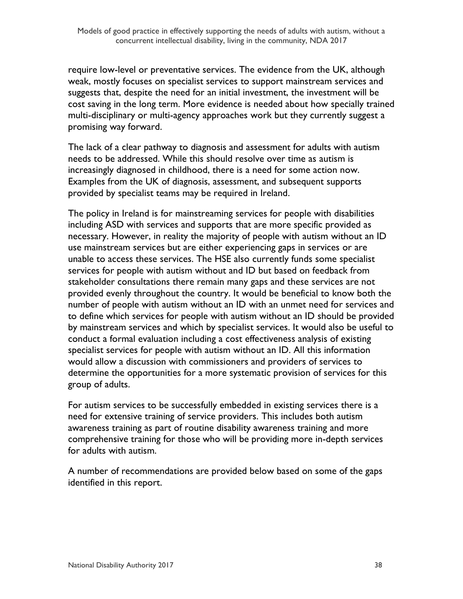require low-level or preventative services. The evidence from the UK, although weak, mostly focuses on specialist services to support mainstream services and suggests that, despite the need for an initial investment, the investment will be cost saving in the long term. More evidence is needed about how specially trained multi-disciplinary or multi-agency approaches work but they currently suggest a promising way forward.

The lack of a clear pathway to diagnosis and assessment for adults with autism needs to be addressed. While this should resolve over time as autism is increasingly diagnosed in childhood, there is a need for some action now. Examples from the UK of diagnosis, assessment, and subsequent supports provided by specialist teams may be required in Ireland.

The policy in Ireland is for mainstreaming services for people with disabilities including ASD with services and supports that are more specific provided as necessary. However, in reality the majority of people with autism without an ID use mainstream services but are either experiencing gaps in services or are unable to access these services. The HSE also currently funds some specialist services for people with autism without and ID but based on feedback from stakeholder consultations there remain many gaps and these services are not provided evenly throughout the country. It would be beneficial to know both the number of people with autism without an ID with an unmet need for services and to define which services for people with autism without an ID should be provided by mainstream services and which by specialist services. It would also be useful to conduct a formal evaluation including a cost effectiveness analysis of existing specialist services for people with autism without an ID. All this information would allow a discussion with commissioners and providers of services to determine the opportunities for a more systematic provision of services for this group of adults.

For autism services to be successfully embedded in existing services there is a need for extensive training of service providers. This includes both autism awareness training as part of routine disability awareness training and more comprehensive training for those who will be providing more in-depth services for adults with autism.

A number of recommendations are provided below based on some of the gaps identified in this report.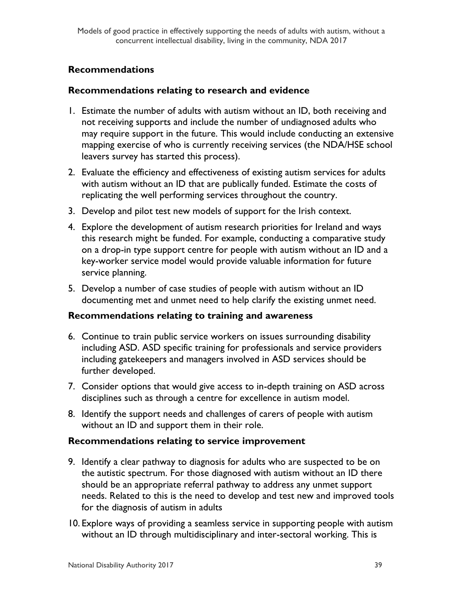#### **Recommendations**

#### **Recommendations relating to research and evidence**

- 1. Estimate the number of adults with autism without an ID, both receiving and not receiving supports and include the number of undiagnosed adults who may require support in the future. This would include conducting an extensive mapping exercise of who is currently receiving services (the NDA/HSE school leavers survey has started this process).
- 2. Evaluate the efficiency and effectiveness of existing autism services for adults with autism without an ID that are publically funded. Estimate the costs of replicating the well performing services throughout the country.
- 3. Develop and pilot test new models of support for the Irish context.
- 4. Explore the development of autism research priorities for Ireland and ways this research might be funded. For example, conducting a comparative study on a drop-in type support centre for people with autism without an ID and a key-worker service model would provide valuable information for future service planning.
- 5. Develop a number of case studies of people with autism without an ID documenting met and unmet need to help clarify the existing unmet need.

#### **Recommendations relating to training and awareness**

- 6. Continue to train public service workers on issues surrounding disability including ASD. ASD specific training for professionals and service providers including gatekeepers and managers involved in ASD services should be further developed.
- 7. Consider options that would give access to in-depth training on ASD across disciplines such as through a centre for excellence in autism model.
- 8. Identify the support needs and challenges of carers of people with autism without an ID and support them in their role.

#### **Recommendations relating to service improvement**

- 9. Identify a clear pathway to diagnosis for adults who are suspected to be on the autistic spectrum. For those diagnosed with autism without an ID there should be an appropriate referral pathway to address any unmet support needs. Related to this is the need to develop and test new and improved tools for the diagnosis of autism in adults
- 10. Explore ways of providing a seamless service in supporting people with autism without an ID through multidisciplinary and inter-sectoral working. This is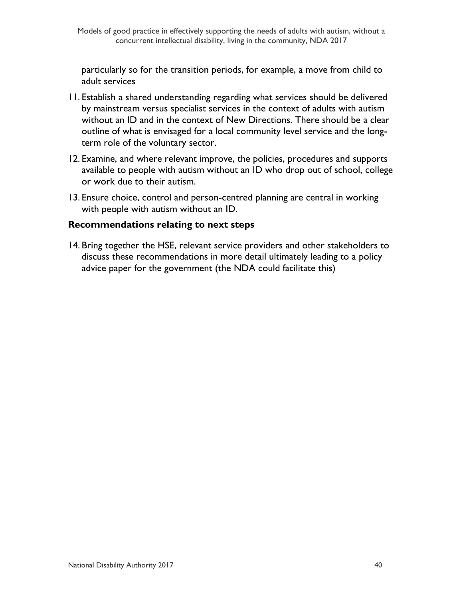particularly so for the transition periods, for example, a move from child to adult services

- 11. Establish a shared understanding regarding what services should be delivered by mainstream versus specialist services in the context of adults with autism without an ID and in the context of New Directions. There should be a clear outline of what is envisaged for a local community level service and the longterm role of the voluntary sector.
- 12. Examine, and where relevant improve, the policies, procedures and supports available to people with autism without an ID who drop out of school, college or work due to their autism.
- 13. Ensure choice, control and person-centred planning are central in working with people with autism without an ID.

#### **Recommendations relating to next steps**

14. Bring together the HSE, relevant service providers and other stakeholders to discuss these recommendations in more detail ultimately leading to a policy advice paper for the government (the NDA could facilitate this)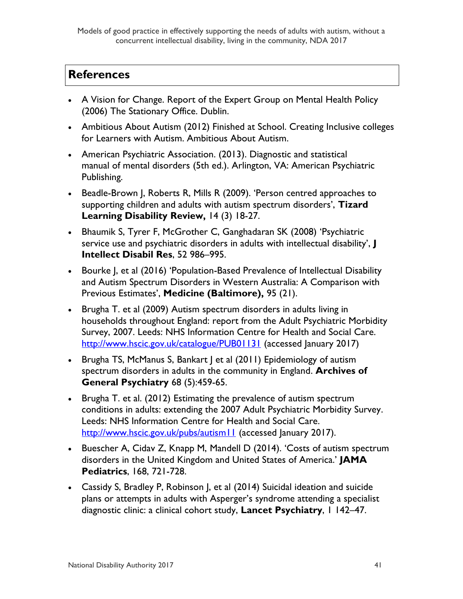Models of good practice in effectively supporting the needs of adults with autism, without a concurrent intellectual disability, living in the community, NDA 2017

## <span id="page-41-0"></span>**References**

- A Vision for Change. Report of the Expert Group on Mental Health Policy (2006) The Stationary Office. Dublin.
- Ambitious About Autism (2012) Finished at School. Creating Inclusive colleges for Learners with Autism. Ambitious About Autism.
- American Psychiatric Association. (2013). Diagnostic and statistical manual of mental disorders (5th ed.). Arlington, VA: American Psychiatric Publishing.
- Beadle-Brown J, Roberts R, Mills R (2009). 'Person centred approaches to supporting children and adults with autism spectrum disorders', **Tizard Learning Disability Review,** 14 (3) 18-27.
- Bhaumik S, Tyrer F, McGrother C, Ganghadaran SK (2008) 'Psychiatric service use and psychiatric disorders in adults with intellectual disability', **J Intellect Disabil Res**, 52 986–995.
- Bourke J, et al (2016) 'Population-Based Prevalence of Intellectual Disability and Autism Spectrum Disorders in Western Australia: A Comparison with Previous Estimates', **Medicine (Baltimore),** 95 (21).
- Brugha T. et al (2009) Autism spectrum disorders in adults living in households throughout England: report from the Adult Psychiatric Morbidity Survey, 2007. Leeds: NHS Information Centre for Health and Social Care. <http://www.hscic.gov.uk/catalogue/PUB01131> (accessed January 2017)
- [Brugha TS,](https://www.ncbi.nlm.nih.gov/pubmed/?term=Brugha%20TS%5BAuthor%5D&cauthor=true&cauthor_uid=21536975) [McManus S,](https://www.ncbi.nlm.nih.gov/pubmed/?term=McManus%20S%5BAuthor%5D&cauthor=true&cauthor_uid=21536975) Bankart | et al (2011) Epidemiology of autism spectrum disorders in adults in the community in England. **Archives of General Psychiatry** 68 (5):459-65.
- Brugha T. et al. (2012) Estimating the prevalence of autism spectrum conditions in adults: extending the 2007 Adult Psychiatric Morbidity Survey. Leeds: NHS Information Centre for Health and Social Care. <http://www.hscic.gov.uk/pubs/autism11> (accessed January 2017).
- Buescher A, Cidav Z, Knapp M, Mandell D (2014). 'Costs of autism spectrum disorders in the United Kingdom and United States of America.' **JAMA Pediatrics**, 168, 721-728.
- Cassidy S, Bradley P, Robinson J, et al (2014) Suicidal ideation and suicide plans or attempts in adults with Asperger's syndrome attending a specialist diagnostic clinic: a clinical cohort study, **Lancet Psychiatry**, 1 142–47.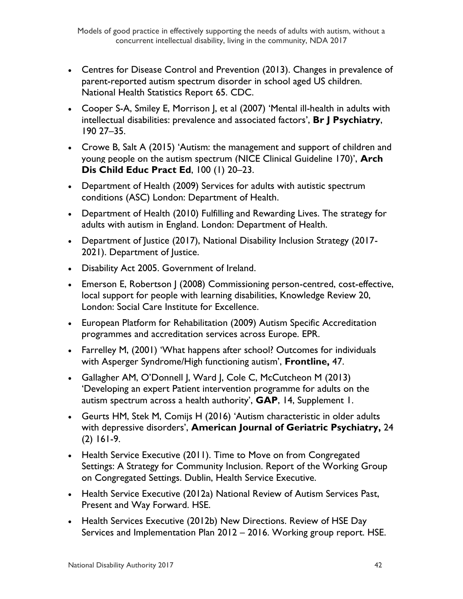- Centres for Disease Control and Prevention (2013). Changes in prevalence of parent-reported autism spectrum disorder in school aged US children. National Health Statistics Report 65. CDC.
- Cooper S-A, Smiley E, Morrison J, et al (2007) 'Mental ill-health in adults with intellectual disabilities: prevalence and associated factors', **Br J Psychiatry**, 190 27–35.
- Crowe B, Salt A (2015) 'Autism: the management and support of children and young people on the autism spectrum (NICE Clinical Guideline 170)', **Arch Dis Child Educ Pract Ed**, 100 (1) 20–23.
- Department of Health (2009) Services for adults with autistic spectrum conditions (ASC) London: Department of Health.
- Department of Health (2010) Fulfilling and Rewarding Lives. The strategy for adults with autism in England. London: Department of Health.
- Department of Justice (2017), National Disability Inclusion Strategy (2017- 2021). Department of Justice.
- Disability Act 2005. Government of Ireland.
- Emerson E, Robertson | (2008) Commissioning person-centred, cost-effective, local support for people with learning disabilities, Knowledge Review 20, London: Social Care Institute for Excellence.
- European Platform for Rehabilitation (2009) Autism Specific Accreditation programmes and accreditation services across Europe. EPR.
- Farrelley M, (2001) 'What happens after school? Outcomes for individuals with Asperger Syndrome/High functioning autism', **Frontline,** 47.
- Gallagher AM, O'Donnell J, Ward J, Cole C, McCutcheon M (2013) 'Developing an expert Patient intervention programme for adults on the autism spectrum across a health authority', **GAP**, 14, Supplement 1.
- Geurts HM, Stek M, Comijs H (2016) 'Autism characteristic in older adults with depressive disorders', **American Journal of Geriatric Psychiatry,** 24 (2) 161-9.
- Health Service Executive (2011). Time to Move on from Congregated Settings: A Strategy for Community Inclusion. Report of the Working Group on Congregated Settings. Dublin, Health Service Executive.
- Health Service Executive (2012a) National Review of Autism Services Past, Present and Way Forward. HSE.
- Health Services Executive (2012b) New Directions. Review of HSE Day Services and Implementation Plan 2012 – 2016. Working group report. HSE.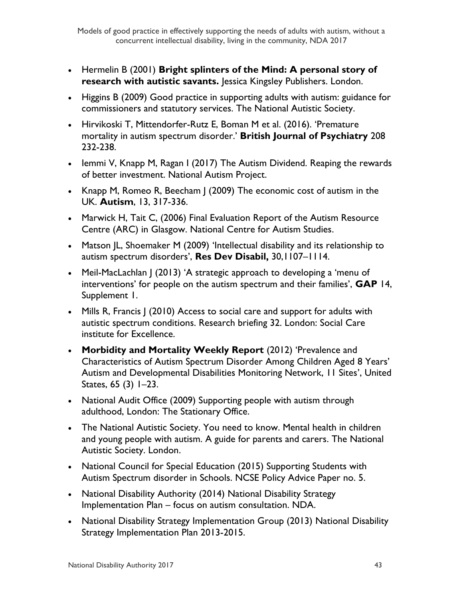- Hermelin B (2001) **Bright splinters of the Mind: A personal story of research with autistic savants.** Jessica Kingsley Publishers. London.
- Higgins B (2009) Good practice in supporting adults with autism: guidance for commissioners and statutory services. The National Autistic Society.
- Hirvikoski T, Mittendorfer-Rutz E, Boman M et al. (2016). 'Premature mortality in autism spectrum disorder.' **British Journal of Psychiatry** 208 232-238.
- Iemmi V, Knapp M, Ragan I (2017) The Autism Dividend. Reaping the rewards of better investment. National Autism Project.
- Knapp M, Romeo R, Beecham J (2009) The economic cost of autism in the UK. **Autism**, 13, 317-336.
- Marwick H, Tait C, (2006) Final Evaluation Report of the Autism Resource Centre (ARC) in Glasgow. National Centre for Autism Studies.
- Matson JL, Shoemaker M (2009) 'Intellectual disability and its relationship to autism spectrum disorders', **Res Dev Disabil,** 30,1107–1114.
- Meil-MacLachlan J (2013) 'A strategic approach to developing a 'menu of interventions' for people on the autism spectrum and their families', **GAP** 14, Supplement 1.
- Mills R, Francis | (2010) Access to social care and support for adults with autistic spectrum conditions. Research briefing 32. London: Social Care institute for Excellence.
- **Morbidity and Mortality Weekly Report** (2012) 'Prevalence and Characteristics of Autism Spectrum Disorder Among Children Aged 8 Years' Autism and Developmental Disabilities Monitoring Network, 11 Sites', United States, 65 (3) 1–23.
- National Audit Office (2009) Supporting people with autism through adulthood, London: The Stationary Office.
- The National Autistic Society. You need to know. Mental health in children and young people with autism. A guide for parents and carers. The National Autistic Society. London.
- National Council for Special Education (2015) Supporting Students with Autism Spectrum disorder in Schools. NCSE Policy Advice Paper no. 5.
- National Disability Authority (2014) National Disability Strategy Implementation Plan – focus on autism consultation. NDA.
- National Disability Strategy Implementation Group (2013) National Disability Strategy Implementation Plan 2013-2015.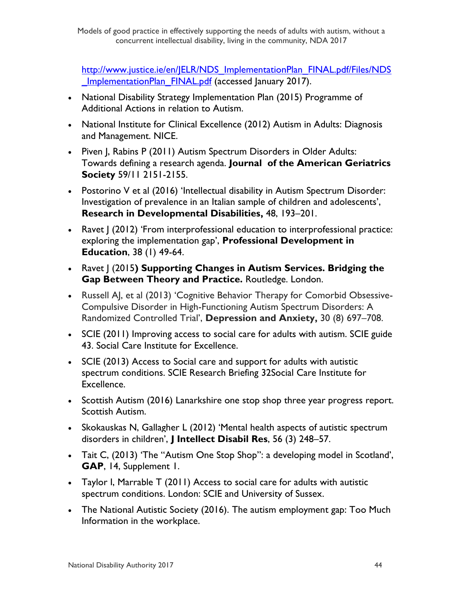http://www.justice.ie/en/JELR/NDS ImplementationPlan\_FINAL.pdf/Files/NDS ImplementationPlan\_FINAL.pdf (accessed January 2017).

- National Disability Strategy Implementation Plan (2015) Programme of Additional Actions in relation to Autism.
- National Institute for Clinical Excellence (2012) Autism in Adults: Diagnosis and Management. NICE.
- Piven J, Rabins P (2011) Autism Spectrum Disorders in Older Adults: Towards defining a research agenda. **Journal of the American Geriatrics Society** 59/11 2151-2155.
- Postorino V et al (2016) 'Intellectual disability in Autism Spectrum Disorder: Investigation of prevalence in an Italian sample of children and adolescents', **[Research in Developmental Disabilities,](http://www.sciencedirect.com/science/journal/08914222)** [48,](http://www.sciencedirect.com/science/journal/08914222/48/supp/C) 193–201.
- Ravet J (2012) 'From interprofessional education to interprofessional practice: exploring the implementation gap', **Professional Development in Education**, 38 (1) 49-64.
- Ravet J (2015**) Supporting Changes in Autism Services. Bridging the Gap Between Theory and Practice.** Routledge. London.
- Russell AI, et al (2013) 'Cognitive Behavior Therapy for Comorbid Obsessive-Compulsive Disorder in High-Functioning Autism Spectrum Disorders: A Randomized Controlled Trial', **Depression and Anxiety,** 30 (8) 697–708.
- SCIE (2011) Improving access to social care for adults with autism. SCIE guide 43. Social Care Institute for Excellence.
- SCIE (2013) Access to Social care and support for adults with autistic spectrum conditions. SCIE Research Briefing 32Social Care Institute for Excellence.
- Scottish Autism (2016) Lanarkshire one stop shop three year progress report. Scottish Autism.
- Skokauskas N, Gallagher L (2012) 'Mental health aspects of autistic spectrum disorders in children', **J Intellect Disabil Res**, 56 (3) 248–57.
- Tait C, (2013) 'The "Autism One Stop Shop": a developing model in Scotland', **GAP**, 14, Supplement 1.
- Taylor I, Marrable T (2011) Access to social care for adults with autistic spectrum conditions. London: SCIE and University of Sussex.
- The National Autistic Society (2016). [The autism employment gap: Too Much](http://www.autism.org.uk/~/media/nas/get-involved/tmi/nas%20tmi%20employment%20report%2024pp%20web.ashx?la=en-gb)  [Information in the workplace.](http://www.autism.org.uk/~/media/nas/get-involved/tmi/nas%20tmi%20employment%20report%2024pp%20web.ashx?la=en-gb)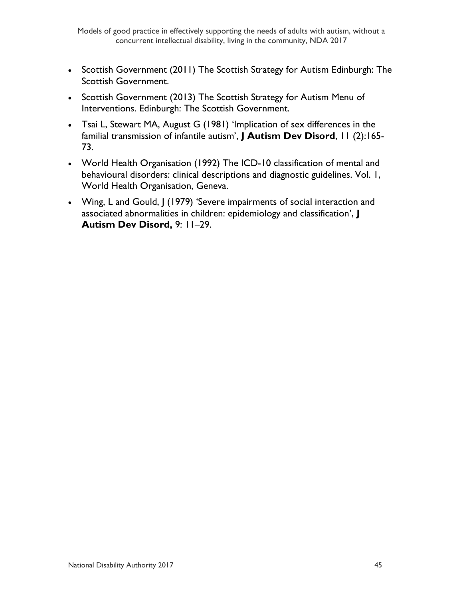- Scottish Government (2011) The Scottish Strategy for Autism Edinburgh: The Scottish Government.
- Scottish Government (2013) The Scottish Strategy for Autism Menu of Interventions. Edinburgh: The Scottish Government.
- Tsai L, Stewart MA, August G (1981) 'Implication of sex differences in the familial transmission of infantile autism', **J Autism Dev Disord**, 11 (2):165- 73.
- World Health Organisation (1992) The ICD-10 classification of mental and behavioural disorders: clinical descriptions and diagnostic guidelines. Vol. 1, World Health Organisation, Geneva.
- Wing, L and Gould, J (1979) 'Severe impairments of social interaction and associated abnormalities in children: epidemiology and classification', **J Autism Dev Disord,** 9: 11–29.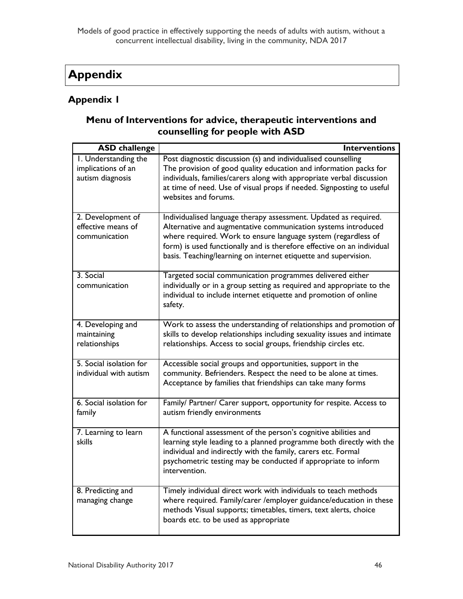# <span id="page-46-0"></span>**Appendix**

### **Appendix 1**

### **Menu of Interventions for advice, therapeutic interventions and counselling for people with ASD**

| <b>ASD</b> challenge                                           | <b>Interventions</b>                                                                                                                                                                                                                                                                                                                            |
|----------------------------------------------------------------|-------------------------------------------------------------------------------------------------------------------------------------------------------------------------------------------------------------------------------------------------------------------------------------------------------------------------------------------------|
| I. Understanding the<br>implications of an<br>autism diagnosis | Post diagnostic discussion (s) and individualised counselling<br>The provision of good quality education and information packs for<br>individuals, families/carers along with appropriate verbal discussion<br>at time of need. Use of visual props if needed. Signposting to useful<br>websites and forums.                                    |
| 2. Development of<br>effective means of<br>communication       | Individualised language therapy assessment. Updated as required.<br>Alternative and augmentative communication systems introduced<br>where required. Work to ensure language system (regardless of<br>form) is used functionally and is therefore effective on an individual<br>basis. Teaching/learning on internet etiquette and supervision. |
| 3. Social<br>communication                                     | Targeted social communication programmes delivered either<br>individually or in a group setting as required and appropriate to the<br>individual to include internet etiquette and promotion of online<br>safety.                                                                                                                               |
| 4. Developing and<br>maintaining<br>relationships              | Work to assess the understanding of relationships and promotion of<br>skills to develop relationships including sexuality issues and intimate<br>relationships. Access to social groups, friendship circles etc.                                                                                                                                |
| 5. Social isolation for<br>individual with autism              | Accessible social groups and opportunities, support in the<br>community. Befrienders. Respect the need to be alone at times.<br>Acceptance by families that friendships can take many forms                                                                                                                                                     |
| 6. Social isolation for<br>family                              | Family/ Partner/ Carer support, opportunity for respite. Access to<br>autism friendly environments                                                                                                                                                                                                                                              |
| 7. Learning to learn<br>skills                                 | A functional assessment of the person's cognitive abilities and<br>learning style leading to a planned programme both directly with the<br>individual and indirectly with the family, carers etc. Formal<br>psychometric testing may be conducted if appropriate to inform<br>intervention.                                                     |
| 8. Predicting and<br>managing change                           | Timely individual direct work with individuals to teach methods<br>where required. Family/carer /employer guidance/education in these<br>methods Visual supports; timetables, timers, text alerts, choice<br>boards etc. to be used as appropriate                                                                                              |